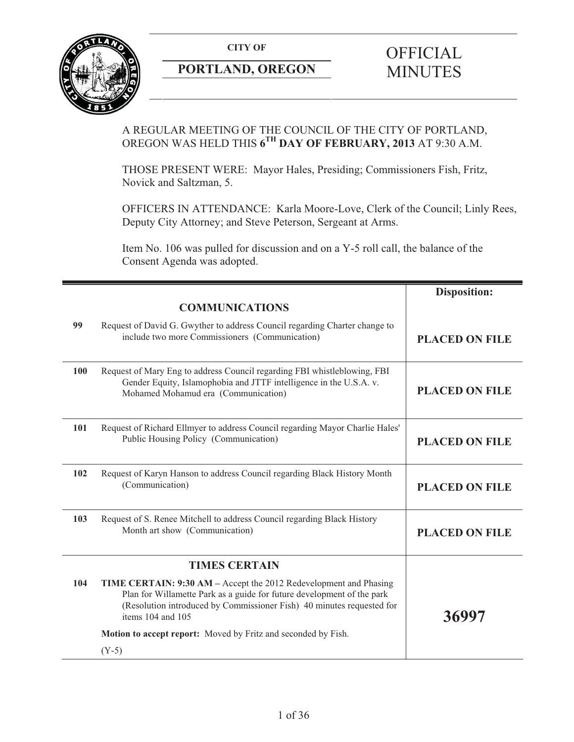**CITY OF** 



# **PORTLAND, OREGON**

# **OFFICIAL** MINUTES

## A REGULAR MEETING OF THE COUNCIL OF THE CITY OF PORTLAND, OREGON WAS HELD THIS **6TH DAY OF FEBRUARY, 2013** AT 9:30 A.M.

THOSE PRESENT WERE: Mayor Hales, Presiding; Commissioners Fish, Fritz, Novick and Saltzman, 5.

OFFICERS IN ATTENDANCE: Karla Moore-Love, Clerk of the Council; Linly Rees, Deputy City Attorney; and Steve Peterson, Sergeant at Arms.

Item No. 106 was pulled for discussion and on a Y-5 roll call, the balance of the Consent Agenda was adopted.

|     | <b>COMMUNICATIONS</b>                                                                                                                                                                                                                     | <b>Disposition:</b>   |
|-----|-------------------------------------------------------------------------------------------------------------------------------------------------------------------------------------------------------------------------------------------|-----------------------|
| 99  | Request of David G. Gwyther to address Council regarding Charter change to<br>include two more Commissioners (Communication)                                                                                                              | <b>PLACED ON FILE</b> |
| 100 | Request of Mary Eng to address Council regarding FBI whistleblowing, FBI<br>Gender Equity, Islamophobia and JTTF intelligence in the U.S.A. v.<br>Mohamed Mohamud era (Communication)                                                     | <b>PLACED ON FILE</b> |
| 101 | Request of Richard Ellmyer to address Council regarding Mayor Charlie Hales'<br>Public Housing Policy (Communication)                                                                                                                     | <b>PLACED ON FILE</b> |
| 102 | Request of Karyn Hanson to address Council regarding Black History Month<br>(Communication)                                                                                                                                               | <b>PLACED ON FILE</b> |
| 103 | Request of S. Renee Mitchell to address Council regarding Black History<br>Month art show (Communication)                                                                                                                                 | <b>PLACED ON FILE</b> |
|     | <b>TIMES CERTAIN</b>                                                                                                                                                                                                                      |                       |
| 104 | TIME CERTAIN: 9:30 AM – Accept the 2012 Redevelopment and Phasing<br>Plan for Willamette Park as a guide for future development of the park<br>(Resolution introduced by Commissioner Fish) 40 minutes requested for<br>items 104 and 105 | 36997                 |
|     | Motion to accept report: Moved by Fritz and seconded by Fish.                                                                                                                                                                             |                       |
|     | $(Y-5)$                                                                                                                                                                                                                                   |                       |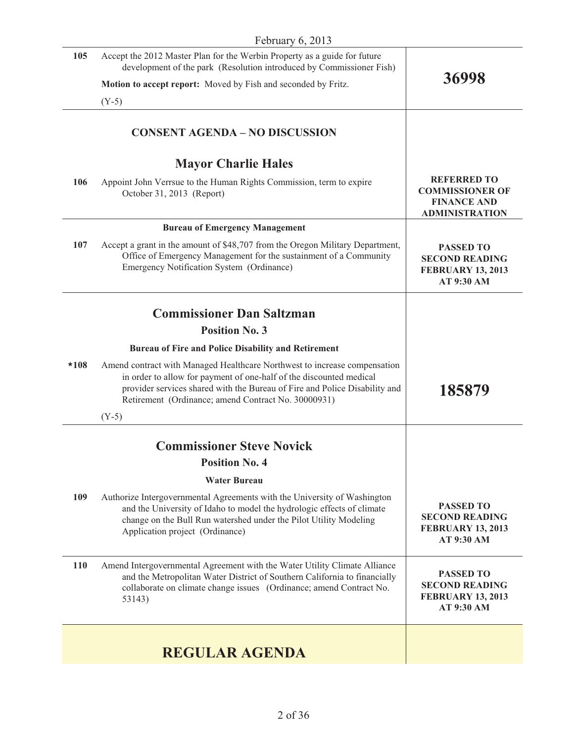| February 6, 2013 |                                                                                                                                                                                                                                                                                       |                                                                                             |
|------------------|---------------------------------------------------------------------------------------------------------------------------------------------------------------------------------------------------------------------------------------------------------------------------------------|---------------------------------------------------------------------------------------------|
| 105              | Accept the 2012 Master Plan for the Werbin Property as a guide for future<br>development of the park (Resolution introduced by Commissioner Fish)                                                                                                                                     |                                                                                             |
|                  | Motion to accept report: Moved by Fish and seconded by Fritz.                                                                                                                                                                                                                         | 36998                                                                                       |
|                  | $(Y-5)$                                                                                                                                                                                                                                                                               |                                                                                             |
|                  | <b>CONSENT AGENDA - NO DISCUSSION</b>                                                                                                                                                                                                                                                 |                                                                                             |
|                  | <b>Mayor Charlie Hales</b>                                                                                                                                                                                                                                                            |                                                                                             |
| 106              | Appoint John Verrsue to the Human Rights Commission, term to expire<br>October 31, 2013 (Report)                                                                                                                                                                                      | <b>REFERRED TO</b><br><b>COMMISSIONER OF</b><br><b>FINANCE AND</b><br><b>ADMINISTRATION</b> |
|                  | <b>Bureau of Emergency Management</b>                                                                                                                                                                                                                                                 |                                                                                             |
| 107              | Accept a grant in the amount of \$48,707 from the Oregon Military Department,<br>Office of Emergency Management for the sustainment of a Community<br>Emergency Notification System (Ordinance)                                                                                       | <b>PASSED TO</b><br><b>SECOND READING</b><br><b>FEBRUARY 13, 2013</b><br>AT 9:30 AM         |
|                  | <b>Commissioner Dan Saltzman</b>                                                                                                                                                                                                                                                      |                                                                                             |
|                  | <b>Position No. 3</b>                                                                                                                                                                                                                                                                 |                                                                                             |
|                  | Bureau of Fire and Police Disability and Retirement                                                                                                                                                                                                                                   |                                                                                             |
| *108             | Amend contract with Managed Healthcare Northwest to increase compensation<br>in order to allow for payment of one-half of the discounted medical<br>provider services shared with the Bureau of Fire and Police Disability and<br>Retirement (Ordinance; amend Contract No. 30000931) | 185879                                                                                      |
|                  | $(Y-5)$                                                                                                                                                                                                                                                                               |                                                                                             |
|                  | <b>Commissioner Steve Novick</b>                                                                                                                                                                                                                                                      |                                                                                             |
|                  | <b>Position No. 4</b>                                                                                                                                                                                                                                                                 |                                                                                             |
|                  | <b>Water Bureau</b>                                                                                                                                                                                                                                                                   |                                                                                             |
| 109              | Authorize Intergovernmental Agreements with the University of Washington<br>and the University of Idaho to model the hydrologic effects of climate<br>change on the Bull Run watershed under the Pilot Utility Modeling<br>Application project (Ordinance)                            | <b>PASSED TO</b><br><b>SECOND READING</b><br><b>FEBRUARY 13, 2013</b><br>AT 9:30 AM         |
| 110              | Amend Intergovernmental Agreement with the Water Utility Climate Alliance<br>and the Metropolitan Water District of Southern California to financially<br>collaborate on climate change issues (Ordinance; amend Contract No.<br>53143)                                               | <b>PASSED TO</b><br><b>SECOND READING</b><br><b>FEBRUARY 13, 2013</b><br>AT 9:30 AM         |
|                  |                                                                                                                                                                                                                                                                                       |                                                                                             |
|                  | <b>REGULAR AGENDA</b>                                                                                                                                                                                                                                                                 |                                                                                             |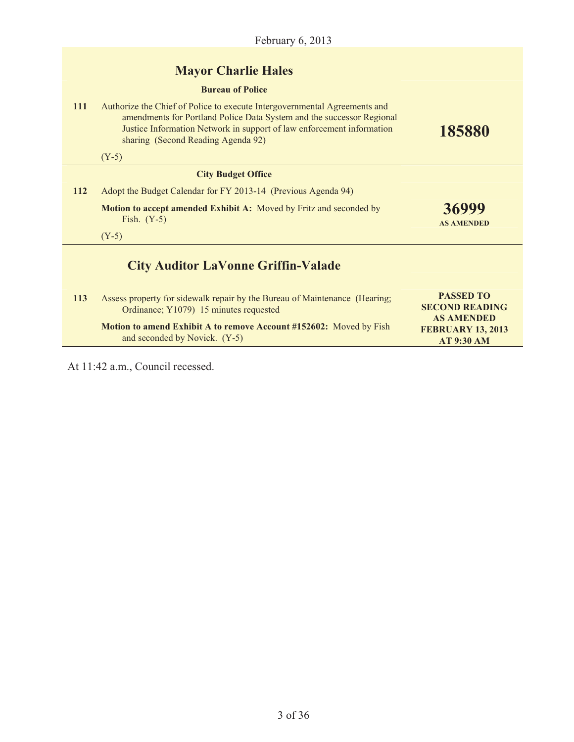|            | <b>Mayor Charlie Hales</b><br><b>Bureau of Police</b>                                                                                                                                                                                                             |                                                                    |
|------------|-------------------------------------------------------------------------------------------------------------------------------------------------------------------------------------------------------------------------------------------------------------------|--------------------------------------------------------------------|
| <b>111</b> | Authorize the Chief of Police to execute Intergovernmental Agreements and<br>amendments for Portland Police Data System and the successor Regional<br>Justice Information Network in support of law enforcement information<br>sharing (Second Reading Agenda 92) | 185880                                                             |
|            | $(Y-5)$                                                                                                                                                                                                                                                           |                                                                    |
|            | <b>City Budget Office</b>                                                                                                                                                                                                                                         |                                                                    |
| <b>112</b> | Adopt the Budget Calendar for FY 2013-14 (Previous Agenda 94)                                                                                                                                                                                                     |                                                                    |
|            | <b>Motion to accept amended Exhibit A:</b> Moved by Fritz and seconded by<br>Fish. $(Y-5)$                                                                                                                                                                        | 36999<br><b>AS AMENDED</b>                                         |
|            | $(Y-5)$                                                                                                                                                                                                                                                           |                                                                    |
|            | <b>City Auditor LaVonne Griffin-Valade</b>                                                                                                                                                                                                                        |                                                                    |
| <b>113</b> | Assess property for sidewalk repair by the Bureau of Maintenance (Hearing;<br>Ordinance; Y1079) 15 minutes requested                                                                                                                                              | <b>PASSED TO</b><br><b>SECOND READING</b>                          |
|            | Motion to amend Exhibit A to remove Account #152602: Moved by Fish<br>and seconded by Novick. (Y-5)                                                                                                                                                               | <b>AS AMENDED</b><br><b>FEBRUARY 13, 2013</b><br><b>AT 9:30 AM</b> |

At 11:42 a.m., Council recessed.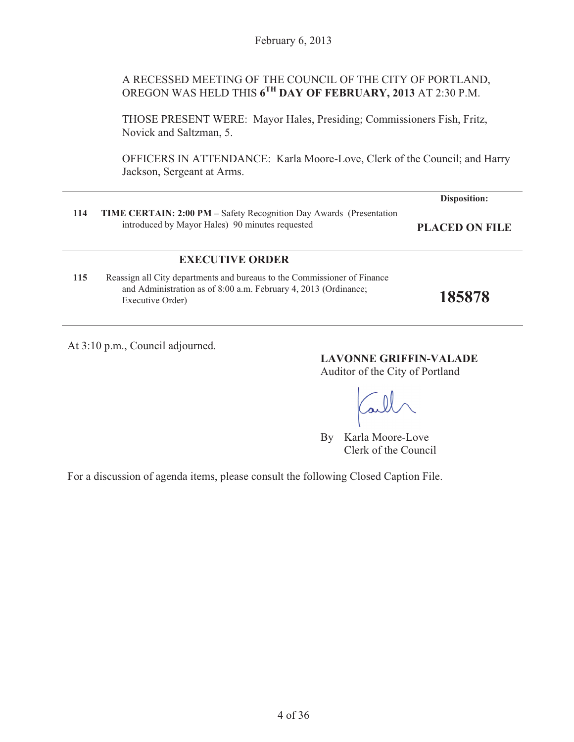## A RECESSED MEETING OF THE COUNCIL OF THE CITY OF PORTLAND, OREGON WAS HELD THIS **6TH DAY OF FEBRUARY, 2013** AT 2:30 P.M.

THOSE PRESENT WERE: Mayor Hales, Presiding; Commissioners Fish, Fritz, Novick and Saltzman, 5.

OFFICERS IN ATTENDANCE: Karla Moore-Love, Clerk of the Council; and Harry Jackson, Sergeant at Arms.

|     |                                                                                                                                                                 | <b>Disposition:</b>   |
|-----|-----------------------------------------------------------------------------------------------------------------------------------------------------------------|-----------------------|
| 114 | TIME CERTAIN: 2:00 PM - Safety Recognition Day Awards (Presentation<br>introduced by Mayor Hales) 90 minutes requested                                          | <b>PLACED ON FILE</b> |
|     | <b>EXECUTIVE ORDER</b>                                                                                                                                          |                       |
| 115 | Reassign all City departments and bureaus to the Commissioner of Finance<br>and Administration as of 8:00 a.m. February 4, 2013 (Ordinance;<br>Executive Order) | 185878                |

At 3:10 p.m., Council adjourned.

**LAVONNE GRIFFIN-VALADE**  Auditor of the City of Portland

By Karla Moore-Love Clerk of the Council

For a discussion of agenda items, please consult the following Closed Caption File.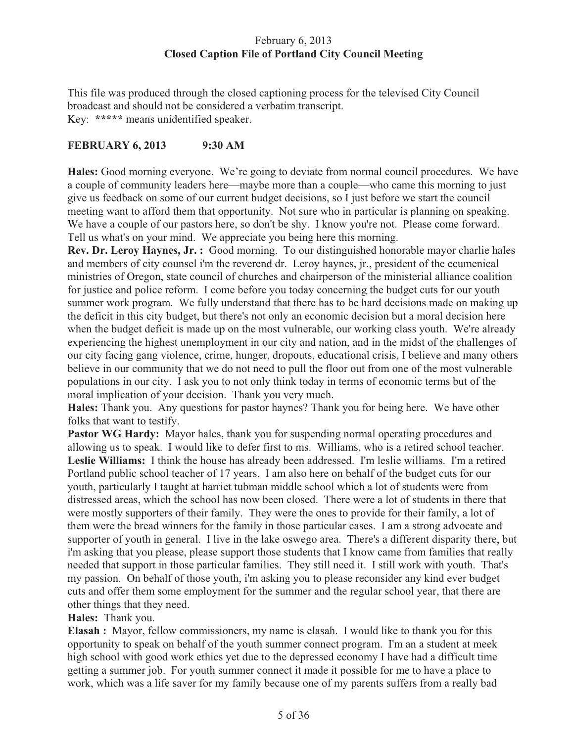## February 6, 2013 **Closed Caption File of Portland City Council Meeting**

This file was produced through the closed captioning process for the televised City Council broadcast and should not be considered a verbatim transcript. Key: **\*\*\*\*\*** means unidentified speaker.

## **FEBRUARY 6, 2013 9:30 AM**

**Hales:** Good morning everyone. We're going to deviate from normal council procedures. We have a couple of community leaders here—maybe more than a couple—who came this morning to just give us feedback on some of our current budget decisions, so I just before we start the council meeting want to afford them that opportunity. Not sure who in particular is planning on speaking. We have a couple of our pastors here, so don't be shy. I know you're not. Please come forward. Tell us what's on your mind. We appreciate you being here this morning.

**Rev. Dr. Leroy Haynes, Jr. :** Good morning. To our distinguished honorable mayor charlie hales and members of city counsel i'm the reverend dr. Leroy haynes, jr., president of the ecumenical ministries of Oregon, state council of churches and chairperson of the ministerial alliance coalition for justice and police reform. I come before you today concerning the budget cuts for our youth summer work program. We fully understand that there has to be hard decisions made on making up the deficit in this city budget, but there's not only an economic decision but a moral decision here when the budget deficit is made up on the most vulnerable, our working class youth. We're already experiencing the highest unemployment in our city and nation, and in the midst of the challenges of our city facing gang violence, crime, hunger, dropouts, educational crisis, I believe and many others believe in our community that we do not need to pull the floor out from one of the most vulnerable populations in our city. I ask you to not only think today in terms of economic terms but of the moral implication of your decision. Thank you very much.

**Hales:** Thank you. Any questions for pastor haynes? Thank you for being here. We have other folks that want to testify.

**Pastor WG Hardy:** Mayor hales, thank you for suspending normal operating procedures and allowing us to speak. I would like to defer first to ms. Williams, who is a retired school teacher. **Leslie Williams:** I think the house has already been addressed. I'm leslie williams. I'm a retired Portland public school teacher of 17 years. I am also here on behalf of the budget cuts for our youth, particularly I taught at harriet tubman middle school which a lot of students were from distressed areas, which the school has now been closed. There were a lot of students in there that were mostly supporters of their family. They were the ones to provide for their family, a lot of them were the bread winners for the family in those particular cases. I am a strong advocate and supporter of youth in general. I live in the lake oswego area. There's a different disparity there, but i'm asking that you please, please support those students that I know came from families that really needed that support in those particular families. They still need it. I still work with youth. That's my passion. On behalf of those youth, i'm asking you to please reconsider any kind ever budget cuts and offer them some employment for the summer and the regular school year, that there are other things that they need.

## **Hales:** Thank you.

**Elasah :** Mayor, fellow commissioners, my name is elasah. I would like to thank you for this opportunity to speak on behalf of the youth summer connect program. I'm an a student at meek high school with good work ethics yet due to the depressed economy I have had a difficult time getting a summer job. For youth summer connect it made it possible for me to have a place to work, which was a life saver for my family because one of my parents suffers from a really bad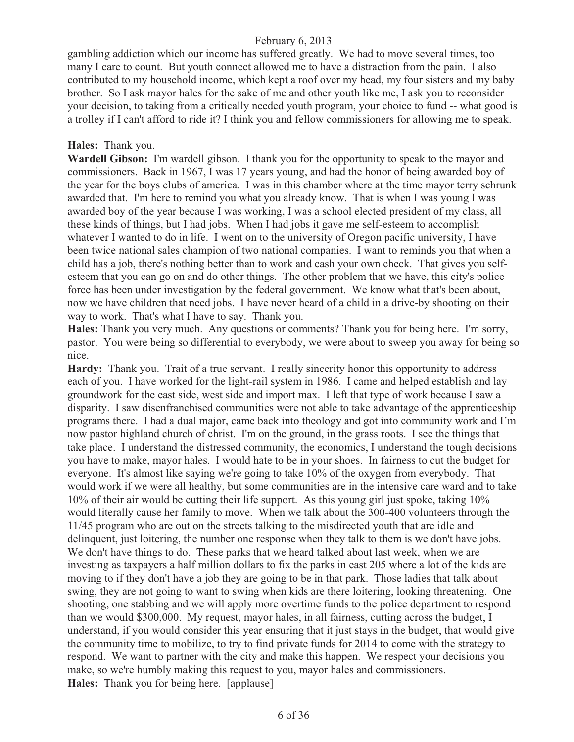gambling addiction which our income has suffered greatly. We had to move several times, too many I care to count. But youth connect allowed me to have a distraction from the pain. I also contributed to my household income, which kept a roof over my head, my four sisters and my baby brother. So I ask mayor hales for the sake of me and other youth like me, I ask you to reconsider your decision, to taking from a critically needed youth program, your choice to fund -- what good is a trolley if I can't afford to ride it? I think you and fellow commissioners for allowing me to speak.

#### **Hales:** Thank you.

**Wardell Gibson:** I'm wardell gibson. I thank you for the opportunity to speak to the mayor and commissioners. Back in 1967, I was 17 years young, and had the honor of being awarded boy of the year for the boys clubs of america. I was in this chamber where at the time mayor terry schrunk awarded that. I'm here to remind you what you already know. That is when I was young I was awarded boy of the year because I was working, I was a school elected president of my class, all these kinds of things, but I had jobs. When I had jobs it gave me self-esteem to accomplish whatever I wanted to do in life. I went on to the university of Oregon pacific university, I have been twice national sales champion of two national companies. I want to reminds you that when a child has a job, there's nothing better than to work and cash your own check. That gives you selfesteem that you can go on and do other things. The other problem that we have, this city's police force has been under investigation by the federal government. We know what that's been about, now we have children that need jobs. I have never heard of a child in a drive-by shooting on their way to work. That's what I have to say. Thank you.

**Hales:** Thank you very much. Any questions or comments? Thank you for being here. I'm sorry, pastor. You were being so differential to everybody, we were about to sweep you away for being so nice.

**Hardy:** Thank you. Trait of a true servant. I really sincerity honor this opportunity to address each of you. I have worked for the light-rail system in 1986. I came and helped establish and lay groundwork for the east side, west side and import max. I left that type of work because I saw a disparity. I saw disenfranchised communities were not able to take advantage of the apprenticeship programs there. I had a dual major, came back into theology and got into community work and I'm now pastor highland church of christ. I'm on the ground, in the grass roots. I see the things that take place. I understand the distressed community, the economics, I understand the tough decisions you have to make, mayor hales. I would hate to be in your shoes. In fairness to cut the budget for everyone. It's almost like saying we're going to take 10% of the oxygen from everybody. That would work if we were all healthy, but some communities are in the intensive care ward and to take 10% of their air would be cutting their life support. As this young girl just spoke, taking 10% would literally cause her family to move. When we talk about the 300-400 volunteers through the 11/45 program who are out on the streets talking to the misdirected youth that are idle and delinquent, just loitering, the number one response when they talk to them is we don't have jobs. We don't have things to do. These parks that we heard talked about last week, when we are investing as taxpayers a half million dollars to fix the parks in east 205 where a lot of the kids are moving to if they don't have a job they are going to be in that park. Those ladies that talk about swing, they are not going to want to swing when kids are there loitering, looking threatening. One shooting, one stabbing and we will apply more overtime funds to the police department to respond than we would \$300,000. My request, mayor hales, in all fairness, cutting across the budget, I understand, if you would consider this year ensuring that it just stays in the budget, that would give the community time to mobilize, to try to find private funds for 2014 to come with the strategy to respond. We want to partner with the city and make this happen. We respect your decisions you make, so we're humbly making this request to you, mayor hales and commissioners. **Hales:** Thank you for being here. [applause]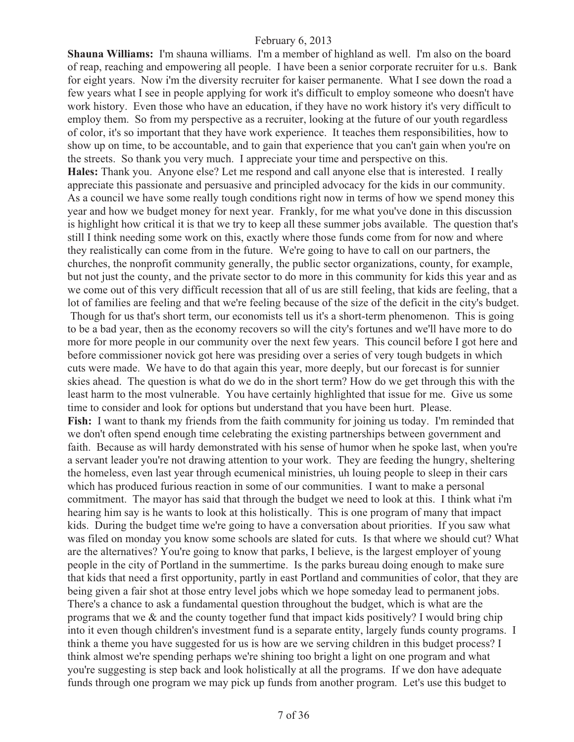**Shauna Williams:** I'm shauna williams. I'm a member of highland as well. I'm also on the board of reap, reaching and empowering all people. I have been a senior corporate recruiter for u.s. Bank for eight years. Now i'm the diversity recruiter for kaiser permanente. What I see down the road a few years what I see in people applying for work it's difficult to employ someone who doesn't have work history. Even those who have an education, if they have no work history it's very difficult to employ them. So from my perspective as a recruiter, looking at the future of our youth regardless of color, it's so important that they have work experience. It teaches them responsibilities, how to show up on time, to be accountable, and to gain that experience that you can't gain when you're on the streets. So thank you very much. I appreciate your time and perspective on this. **Hales:** Thank you. Anyone else? Let me respond and call anyone else that is interested. I really appreciate this passionate and persuasive and principled advocacy for the kids in our community. As a council we have some really tough conditions right now in terms of how we spend money this year and how we budget money for next year. Frankly, for me what you've done in this discussion is highlight how critical it is that we try to keep all these summer jobs available. The question that's still I think needing some work on this, exactly where those funds come from for now and where they realistically can come from in the future. We're going to have to call on our partners, the churches, the nonprofit community generally, the public sector organizations, county, for example, but not just the county, and the private sector to do more in this community for kids this year and as we come out of this very difficult recession that all of us are still feeling, that kids are feeling, that a lot of families are feeling and that we're feeling because of the size of the deficit in the city's budget. Though for us that's short term, our economists tell us it's a short-term phenomenon. This is going to be a bad year, then as the economy recovers so will the city's fortunes and we'll have more to do more for more people in our community over the next few years. This council before I got here and before commissioner novick got here was presiding over a series of very tough budgets in which cuts were made. We have to do that again this year, more deeply, but our forecast is for sunnier skies ahead. The question is what do we do in the short term? How do we get through this with the least harm to the most vulnerable. You have certainly highlighted that issue for me. Give us some time to consider and look for options but understand that you have been hurt. Please. **Fish:** I want to thank my friends from the faith community for joining us today. I'm reminded that we don't often spend enough time celebrating the existing partnerships between government and faith. Because as will hardy demonstrated with his sense of humor when he spoke last, when you're a servant leader you're not drawing attention to your work. They are feeding the hungry, sheltering the homeless, even last year through ecumenical ministries, uh louing people to sleep in their cars which has produced furious reaction in some of our communities. I want to make a personal commitment. The mayor has said that through the budget we need to look at this. I think what i'm hearing him say is he wants to look at this holistically. This is one program of many that impact kids. During the budget time we're going to have a conversation about priorities. If you saw what was filed on monday you know some schools are slated for cuts. Is that where we should cut? What are the alternatives? You're going to know that parks, I believe, is the largest employer of young people in the city of Portland in the summertime. Is the parks bureau doing enough to make sure that kids that need a first opportunity, partly in east Portland and communities of color, that they are being given a fair shot at those entry level jobs which we hope someday lead to permanent jobs. There's a chance to ask a fundamental question throughout the budget, which is what are the programs that we & and the county together fund that impact kids positively? I would bring chip into it even though children's investment fund is a separate entity, largely funds county programs. I think a theme you have suggested for us is how are we serving children in this budget process? I think almost we're spending perhaps we're shining too bright a light on one program and what you're suggesting is step back and look holistically at all the programs. If we don have adequate funds through one program we may pick up funds from another program. Let's use this budget to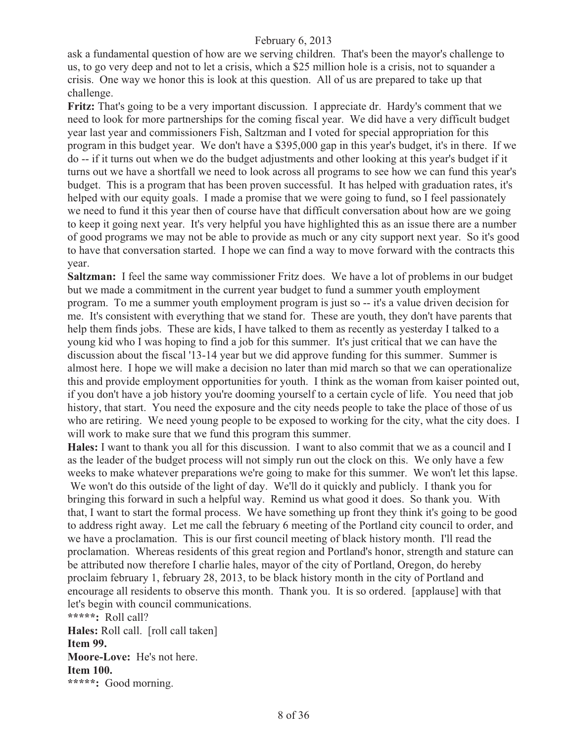ask a fundamental question of how are we serving children. That's been the mayor's challenge to us, to go very deep and not to let a crisis, which a \$25 million hole is a crisis, not to squander a crisis. One way we honor this is look at this question. All of us are prepared to take up that challenge.

**Fritz:** That's going to be a very important discussion. I appreciate dr. Hardy's comment that we need to look for more partnerships for the coming fiscal year. We did have a very difficult budget year last year and commissioners Fish, Saltzman and I voted for special appropriation for this program in this budget year. We don't have a \$395,000 gap in this year's budget, it's in there. If we do -- if it turns out when we do the budget adjustments and other looking at this year's budget if it turns out we have a shortfall we need to look across all programs to see how we can fund this year's budget. This is a program that has been proven successful. It has helped with graduation rates, it's helped with our equity goals. I made a promise that we were going to fund, so I feel passionately we need to fund it this year then of course have that difficult conversation about how are we going to keep it going next year. It's very helpful you have highlighted this as an issue there are a number of good programs we may not be able to provide as much or any city support next year. So it's good to have that conversation started. I hope we can find a way to move forward with the contracts this year.

**Saltzman:** I feel the same way commissioner Fritz does. We have a lot of problems in our budget but we made a commitment in the current year budget to fund a summer youth employment program. To me a summer youth employment program is just so -- it's a value driven decision for me. It's consistent with everything that we stand for. These are youth, they don't have parents that help them finds jobs. These are kids, I have talked to them as recently as yesterday I talked to a young kid who I was hoping to find a job for this summer. It's just critical that we can have the discussion about the fiscal '13-14 year but we did approve funding for this summer. Summer is almost here. I hope we will make a decision no later than mid march so that we can operationalize this and provide employment opportunities for youth. I think as the woman from kaiser pointed out, if you don't have a job history you're dooming yourself to a certain cycle of life. You need that job history, that start. You need the exposure and the city needs people to take the place of those of us who are retiring. We need young people to be exposed to working for the city, what the city does. I will work to make sure that we fund this program this summer.

**Hales:** I want to thank you all for this discussion. I want to also commit that we as a council and I as the leader of the budget process will not simply run out the clock on this. We only have a few weeks to make whatever preparations we're going to make for this summer. We won't let this lapse. We won't do this outside of the light of day. We'll do it quickly and publicly. I thank you for bringing this forward in such a helpful way. Remind us what good it does. So thank you. With that, I want to start the formal process. We have something up front they think it's going to be good to address right away. Let me call the february 6 meeting of the Portland city council to order, and

we have a proclamation. This is our first council meeting of black history month. I'll read the proclamation. Whereas residents of this great region and Portland's honor, strength and stature can be attributed now therefore I charlie hales, mayor of the city of Portland, Oregon, do hereby proclaim february 1, february 28, 2013, to be black history month in the city of Portland and encourage all residents to observe this month. Thank you. It is so ordered. [applause] with that let's begin with council communications.

**\*\*\*\*\*:** Roll call? **Hales:** Roll call. [roll call taken] **Item 99. Moore-Love:** He's not here. **Item 100. \*\*\*\*\*:** Good morning.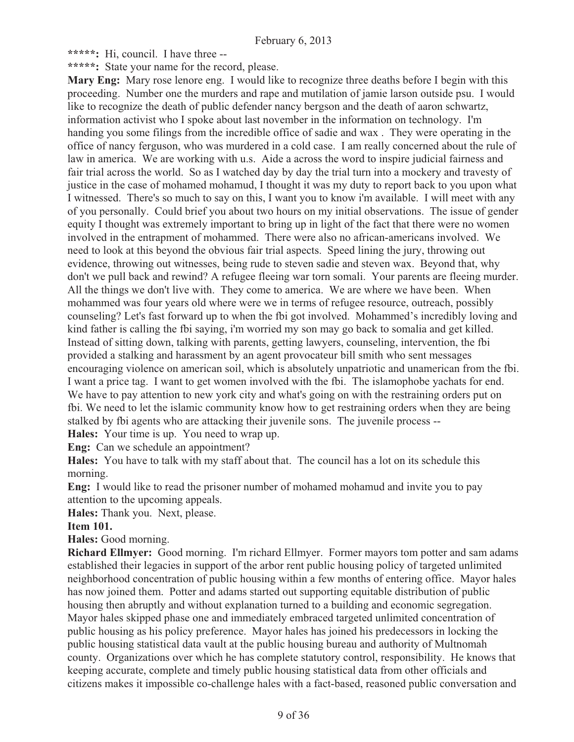**\*\*\*\*\*:** Hi, council. I have three --

**\*\*\*\*\*:** State your name for the record, please.

**Mary Eng:** Mary rose lenore eng. I would like to recognize three deaths before I begin with this proceeding. Number one the murders and rape and mutilation of jamie larson outside psu. I would like to recognize the death of public defender nancy bergson and the death of aaron schwartz, information activist who I spoke about last november in the information on technology. I'm handing you some filings from the incredible office of sadie and wax . They were operating in the office of nancy ferguson, who was murdered in a cold case. I am really concerned about the rule of law in america. We are working with u.s. Aide a across the word to inspire judicial fairness and fair trial across the world. So as I watched day by day the trial turn into a mockery and travesty of justice in the case of mohamed mohamud, I thought it was my duty to report back to you upon what I witnessed. There's so much to say on this, I want you to know i'm available. I will meet with any of you personally. Could brief you about two hours on my initial observations. The issue of gender equity I thought was extremely important to bring up in light of the fact that there were no women involved in the entrapment of mohammed. There were also no african-americans involved. We need to look at this beyond the obvious fair trial aspects. Speed lining the jury, throwing out evidence, throwing out witnesses, being rude to steven sadie and steven wax. Beyond that, why don't we pull back and rewind? A refugee fleeing war torn somali. Your parents are fleeing murder. All the things we don't live with. They come to america. We are where we have been. When mohammed was four years old where were we in terms of refugee resource, outreach, possibly counseling? Let's fast forward up to when the fbi got involved. Mohammed's incredibly loving and kind father is calling the fbi saying, i'm worried my son may go back to somalia and get killed. Instead of sitting down, talking with parents, getting lawyers, counseling, intervention, the fbi provided a stalking and harassment by an agent provocateur bill smith who sent messages encouraging violence on american soil, which is absolutely unpatriotic and unamerican from the fbi. I want a price tag. I want to get women involved with the fbi. The islamophobe yachats for end. We have to pay attention to new york city and what's going on with the restraining orders put on fbi. We need to let the islamic community know how to get restraining orders when they are being stalked by fbi agents who are attacking their juvenile sons. The juvenile process --

**Hales:** Your time is up. You need to wrap up.

**Eng:** Can we schedule an appointment?

**Hales:** You have to talk with my staff about that. The council has a lot on its schedule this morning.

**Eng:** I would like to read the prisoner number of mohamed mohamud and invite you to pay attention to the upcoming appeals.

**Hales:** Thank you. Next, please.

#### **Item 101.**

**Hales:** Good morning.

**Richard Ellmyer:** Good morning. I'm richard Ellmyer. Former mayors tom potter and sam adams established their legacies in support of the arbor rent public housing policy of targeted unlimited neighborhood concentration of public housing within a few months of entering office. Mayor hales has now joined them. Potter and adams started out supporting equitable distribution of public housing then abruptly and without explanation turned to a building and economic segregation. Mayor hales skipped phase one and immediately embraced targeted unlimited concentration of public housing as his policy preference. Mayor hales has joined his predecessors in locking the public housing statistical data vault at the public housing bureau and authority of Multnomah county. Organizations over which he has complete statutory control, responsibility. He knows that keeping accurate, complete and timely public housing statistical data from other officials and citizens makes it impossible co-challenge hales with a fact-based, reasoned public conversation and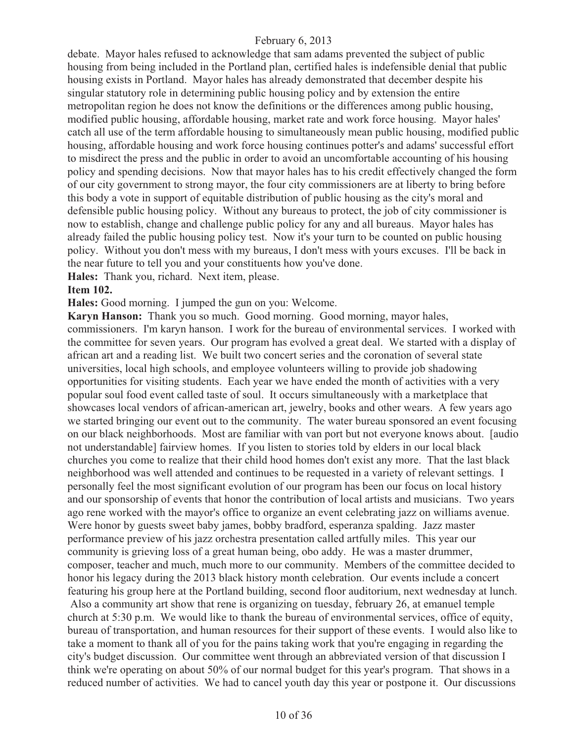debate. Mayor hales refused to acknowledge that sam adams prevented the subject of public housing from being included in the Portland plan, certified hales is indefensible denial that public housing exists in Portland. Mayor hales has already demonstrated that december despite his singular statutory role in determining public housing policy and by extension the entire metropolitan region he does not know the definitions or the differences among public housing, modified public housing, affordable housing, market rate and work force housing. Mayor hales' catch all use of the term affordable housing to simultaneously mean public housing, modified public housing, affordable housing and work force housing continues potter's and adams' successful effort to misdirect the press and the public in order to avoid an uncomfortable accounting of his housing policy and spending decisions. Now that mayor hales has to his credit effectively changed the form of our city government to strong mayor, the four city commissioners are at liberty to bring before this body a vote in support of equitable distribution of public housing as the city's moral and defensible public housing policy. Without any bureaus to protect, the job of city commissioner is now to establish, change and challenge public policy for any and all bureaus. Mayor hales has already failed the public housing policy test. Now it's your turn to be counted on public housing policy. Without you don't mess with my bureaus, I don't mess with yours excuses. I'll be back in the near future to tell you and your constituents how you've done.

**Hales:** Thank you, richard. Next item, please.

#### **Item 102.**

**Hales:** Good morning. I jumped the gun on you: Welcome.

**Karyn Hanson:** Thank you so much. Good morning. Good morning, mayor hales, commissioners. I'm karyn hanson. I work for the bureau of environmental services. I worked with the committee for seven years. Our program has evolved a great deal. We started with a display of african art and a reading list. We built two concert series and the coronation of several state universities, local high schools, and employee volunteers willing to provide job shadowing opportunities for visiting students. Each year we have ended the month of activities with a very popular soul food event called taste of soul. It occurs simultaneously with a marketplace that showcases local vendors of african-american art, jewelry, books and other wears. A few years ago we started bringing our event out to the community. The water bureau sponsored an event focusing on our black neighborhoods. Most are familiar with van port but not everyone knows about. [audio not understandable] fairview homes. If you listen to stories told by elders in our local black churches you come to realize that their child hood homes don't exist any more. That the last black neighborhood was well attended and continues to be requested in a variety of relevant settings. I personally feel the most significant evolution of our program has been our focus on local history and our sponsorship of events that honor the contribution of local artists and musicians. Two years ago rene worked with the mayor's office to organize an event celebrating jazz on williams avenue. Were honor by guests sweet baby james, bobby bradford, esperanza spalding. Jazz master performance preview of his jazz orchestra presentation called artfully miles. This year our community is grieving loss of a great human being, obo addy. He was a master drummer, composer, teacher and much, much more to our community. Members of the committee decided to honor his legacy during the 2013 black history month celebration. Our events include a concert featuring his group here at the Portland building, second floor auditorium, next wednesday at lunch. Also a community art show that rene is organizing on tuesday, february 26, at emanuel temple

church at 5:30 p.m. We would like to thank the bureau of environmental services, office of equity, bureau of transportation, and human resources for their support of these events. I would also like to take a moment to thank all of you for the pains taking work that you're engaging in regarding the city's budget discussion. Our committee went through an abbreviated version of that discussion I think we're operating on about 50% of our normal budget for this year's program. That shows in a reduced number of activities. We had to cancel youth day this year or postpone it. Our discussions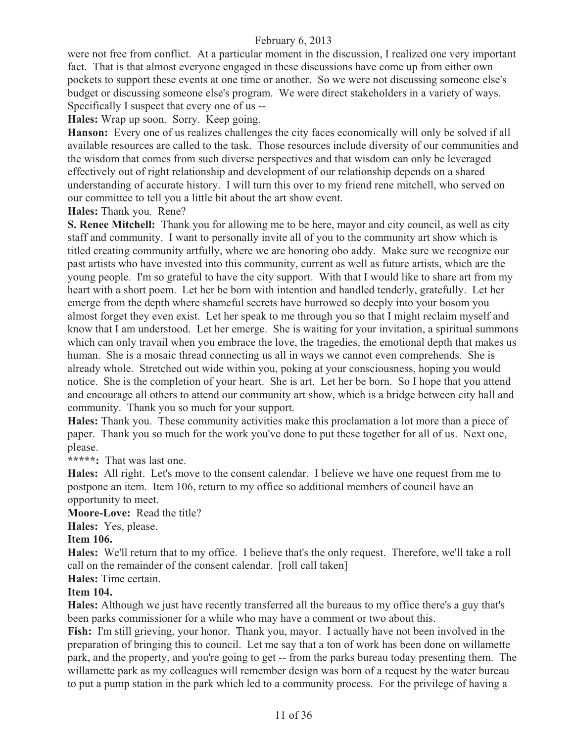were not free from conflict. At a particular moment in the discussion, I realized one very important fact. That is that almost everyone engaged in these discussions have come up from either own pockets to support these events at one time or another. So we were not discussing someone else's budget or discussing someone else's program. We were direct stakeholders in a variety of ways. Specifically I suspect that every one of us --

**Hales:** Wrap up soon. Sorry. Keep going.

**Hanson:** Every one of us realizes challenges the city faces economically will only be solved if all available resources are called to the task. Those resources include diversity of our communities and the wisdom that comes from such diverse perspectives and that wisdom can only be leveraged effectively out of right relationship and development of our relationship depends on a shared understanding of accurate history. I will turn this over to my friend rene mitchell, who served on our committee to tell you a little bit about the art show event.

**Hales:** Thank you. Rene?

**S. Renee Mitchell:** Thank you for allowing me to be here, mayor and city council, as well as city staff and community. I want to personally invite all of you to the community art show which is titled creating community artfully, where we are honoring obo addy. Make sure we recognize our past artists who have invested into this community, current as well as future artists, which are the young people. I'm so grateful to have the city support. With that I would like to share art from my heart with a short poem. Let her be born with intention and handled tenderly, gratefully. Let her emerge from the depth where shameful secrets have burrowed so deeply into your bosom you almost forget they even exist. Let her speak to me through you so that I might reclaim myself and know that I am understood. Let her emerge. She is waiting for your invitation, a spiritual summons which can only travail when you embrace the love, the tragedies, the emotional depth that makes us human. She is a mosaic thread connecting us all in ways we cannot even comprehends. She is already whole. Stretched out wide within you, poking at your consciousness, hoping you would notice. She is the completion of your heart. She is art. Let her be born. So I hope that you attend and encourage all others to attend our community art show, which is a bridge between city hall and community. Thank you so much for your support.

**Hales:** Thank you. These community activities make this proclamation a lot more than a piece of paper. Thank you so much for the work you've done to put these together for all of us. Next one, please.

**\*\*\*\*\*:** That was last one.

**Hales:** All right. Let's move to the consent calendar. I believe we have one request from me to postpone an item. Item 106, return to my office so additional members of council have an opportunity to meet.

**Moore-Love:** Read the title?

**Hales:** Yes, please.

#### **Item 106.**

**Hales:** We'll return that to my office. I believe that's the only request. Therefore, we'll take a roll call on the remainder of the consent calendar. [roll call taken]

### **Hales:** Time certain.

#### **Item 104.**

**Hales:** Although we just have recently transferred all the bureaus to my office there's a guy that's been parks commissioner for a while who may have a comment or two about this.

**Fish:** I'm still grieving, your honor. Thank you, mayor. I actually have not been involved in the preparation of bringing this to council. Let me say that a ton of work has been done on willamette park, and the property, and you're going to get -- from the parks bureau today presenting them. The willamette park as my colleagues will remember design was born of a request by the water bureau to put a pump station in the park which led to a community process. For the privilege of having a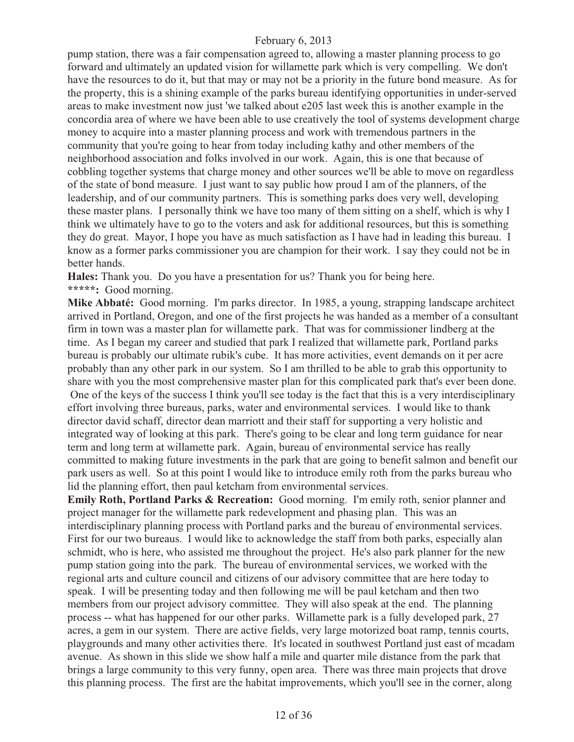pump station, there was a fair compensation agreed to, allowing a master planning process to go forward and ultimately an updated vision for willamette park which is very compelling. We don't have the resources to do it, but that may or may not be a priority in the future bond measure. As for the property, this is a shining example of the parks bureau identifying opportunities in under-served areas to make investment now just 'we talked about e205 last week this is another example in the concordia area of where we have been able to use creatively the tool of systems development charge money to acquire into a master planning process and work with tremendous partners in the community that you're going to hear from today including kathy and other members of the neighborhood association and folks involved in our work. Again, this is one that because of cobbling together systems that charge money and other sources we'll be able to move on regardless of the state of bond measure. I just want to say public how proud I am of the planners, of the leadership, and of our community partners. This is something parks does very well, developing these master plans. I personally think we have too many of them sitting on a shelf, which is why I think we ultimately have to go to the voters and ask for additional resources, but this is something they do great. Mayor, I hope you have as much satisfaction as I have had in leading this bureau. I know as a former parks commissioner you are champion for their work. I say they could not be in better hands.

**Hales:** Thank you. Do you have a presentation for us? Thank you for being here. **\*\*\*\*\*:** Good morning.

**Mike Abbaté:** Good morning. I'm parks director. In 1985, a young, strapping landscape architect arrived in Portland, Oregon, and one of the first projects he was handed as a member of a consultant firm in town was a master plan for willamette park. That was for commissioner lindberg at the time. As I began my career and studied that park I realized that willamette park, Portland parks bureau is probably our ultimate rubik's cube. It has more activities, event demands on it per acre probably than any other park in our system. So I am thrilled to be able to grab this opportunity to share with you the most comprehensive master plan for this complicated park that's ever been done. One of the keys of the success I think you'll see today is the fact that this is a very interdisciplinary effort involving three bureaus, parks, water and environmental services. I would like to thank director david schaff, director dean marriott and their staff for supporting a very holistic and integrated way of looking at this park. There's going to be clear and long term guidance for near term and long term at willamette park. Again, bureau of environmental service has really committed to making future investments in the park that are going to benefit salmon and benefit our park users as well. So at this point I would like to introduce emily roth from the parks bureau who lid the planning effort, then paul ketcham from environmental services.

**Emily Roth, Portland Parks & Recreation:** Good morning. I'm emily roth, senior planner and project manager for the willamette park redevelopment and phasing plan. This was an interdisciplinary planning process with Portland parks and the bureau of environmental services. First for our two bureaus. I would like to acknowledge the staff from both parks, especially alan schmidt, who is here, who assisted me throughout the project. He's also park planner for the new pump station going into the park. The bureau of environmental services, we worked with the regional arts and culture council and citizens of our advisory committee that are here today to speak. I will be presenting today and then following me will be paul ketcham and then two members from our project advisory committee. They will also speak at the end. The planning process -- what has happened for our other parks. Willamette park is a fully developed park, 27 acres, a gem in our system. There are active fields, very large motorized boat ramp, tennis courts, playgrounds and many other activities there. It's located in southwest Portland just east of mcadam avenue. As shown in this slide we show half a mile and quarter mile distance from the park that brings a large community to this very funny, open area. There was three main projects that drove this planning process. The first are the habitat improvements, which you'll see in the corner, along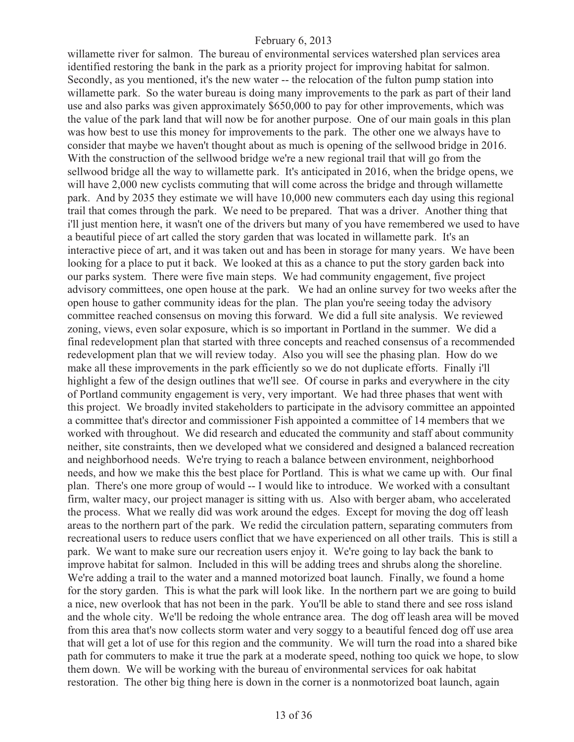willamette river for salmon. The bureau of environmental services watershed plan services area identified restoring the bank in the park as a priority project for improving habitat for salmon. Secondly, as you mentioned, it's the new water -- the relocation of the fulton pump station into willamette park. So the water bureau is doing many improvements to the park as part of their land use and also parks was given approximately \$650,000 to pay for other improvements, which was the value of the park land that will now be for another purpose. One of our main goals in this plan was how best to use this money for improvements to the park. The other one we always have to consider that maybe we haven't thought about as much is opening of the sellwood bridge in 2016. With the construction of the sellwood bridge we're a new regional trail that will go from the sellwood bridge all the way to willamette park. It's anticipated in 2016, when the bridge opens, we will have 2,000 new cyclists commuting that will come across the bridge and through willamette park. And by 2035 they estimate we will have 10,000 new commuters each day using this regional trail that comes through the park. We need to be prepared. That was a driver. Another thing that i'll just mention here, it wasn't one of the drivers but many of you have remembered we used to have a beautiful piece of art called the story garden that was located in willamette park. It's an interactive piece of art, and it was taken out and has been in storage for many years. We have been looking for a place to put it back. We looked at this as a chance to put the story garden back into our parks system. There were five main steps. We had community engagement, five project advisory committees, one open house at the park. We had an online survey for two weeks after the open house to gather community ideas for the plan. The plan you're seeing today the advisory committee reached consensus on moving this forward. We did a full site analysis. We reviewed zoning, views, even solar exposure, which is so important in Portland in the summer. We did a final redevelopment plan that started with three concepts and reached consensus of a recommended redevelopment plan that we will review today. Also you will see the phasing plan. How do we make all these improvements in the park efficiently so we do not duplicate efforts. Finally i'll highlight a few of the design outlines that we'll see. Of course in parks and everywhere in the city of Portland community engagement is very, very important. We had three phases that went with this project. We broadly invited stakeholders to participate in the advisory committee an appointed a committee that's director and commissioner Fish appointed a committee of 14 members that we worked with throughout. We did research and educated the community and staff about community neither, site constraints, then we developed what we considered and designed a balanced recreation and neighborhood needs. We're trying to reach a balance between environment, neighborhood needs, and how we make this the best place for Portland. This is what we came up with. Our final plan. There's one more group of would -- I would like to introduce. We worked with a consultant firm, walter macy, our project manager is sitting with us. Also with berger abam, who accelerated the process. What we really did was work around the edges. Except for moving the dog off leash areas to the northern part of the park. We redid the circulation pattern, separating commuters from recreational users to reduce users conflict that we have experienced on all other trails. This is still a park. We want to make sure our recreation users enjoy it. We're going to lay back the bank to improve habitat for salmon. Included in this will be adding trees and shrubs along the shoreline. We're adding a trail to the water and a manned motorized boat launch. Finally, we found a home for the story garden. This is what the park will look like. In the northern part we are going to build a nice, new overlook that has not been in the park. You'll be able to stand there and see ross island and the whole city. We'll be redoing the whole entrance area. The dog off leash area will be moved from this area that's now collects storm water and very soggy to a beautiful fenced dog off use area that will get a lot of use for this region and the community. We will turn the road into a shared bike path for commuters to make it true the park at a moderate speed, nothing too quick we hope, to slow them down. We will be working with the bureau of environmental services for oak habitat restoration. The other big thing here is down in the corner is a nonmotorized boat launch, again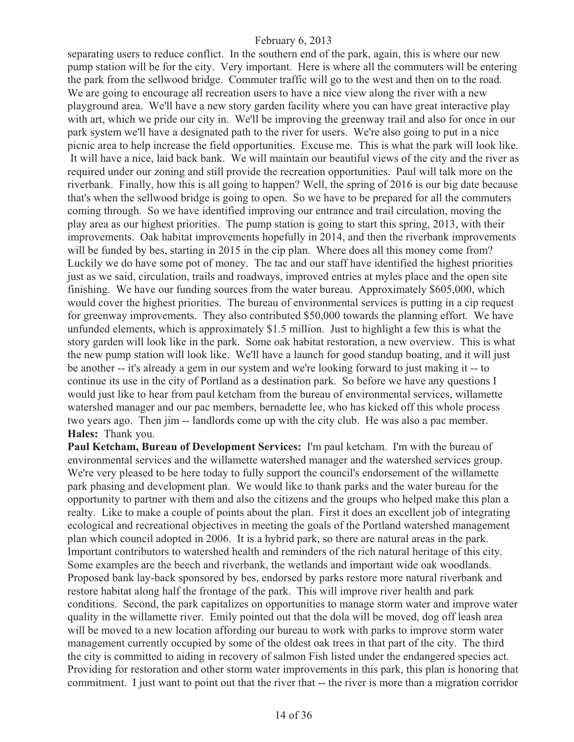separating users to reduce conflict. In the southern end of the park, again, this is where our new pump station will be for the city. Very important. Here is where all the commuters will be entering the park from the sellwood bridge. Commuter traffic will go to the west and then on to the road. We are going to encourage all recreation users to have a nice view along the river with a new playground area. We'll have a new story garden facility where you can have great interactive play with art, which we pride our city in. We'll be improving the greenway trail and also for once in our park system we'll have a designated path to the river for users. We're also going to put in a nice picnic area to help increase the field opportunities. Excuse me. This is what the park will look like. It will have a nice, laid back bank. We will maintain our beautiful views of the city and the river as required under our zoning and still provide the recreation opportunities. Paul will talk more on the riverbank. Finally, how this is all going to happen? Well, the spring of 2016 is our big date because that's when the sellwood bridge is going to open. So we have to be prepared for all the commuters coming through. So we have identified improving our entrance and trail circulation, moving the play area as our highest priorities. The pump station is going to start this spring, 2013, with their improvements. Oak habitat improvements hopefully in 2014, and then the riverbank improvements will be funded by bes, starting in 2015 in the cip plan. Where does all this money come from? Luckily we do have some pot of money. The tac and our staff have identified the highest priorities just as we said, circulation, trails and roadways, improved entries at myles place and the open site finishing. We have our funding sources from the water bureau. Approximately \$605,000, which would cover the highest priorities. The bureau of environmental services is putting in a cip request for greenway improvements. They also contributed \$50,000 towards the planning effort. We have unfunded elements, which is approximately \$1.5 million. Just to highlight a few this is what the story garden will look like in the park. Some oak habitat restoration, a new overview. This is what the new pump station will look like. We'll have a launch for good standup boating, and it will just be another -- it's already a gem in our system and we're looking forward to just making it -- to continue its use in the city of Portland as a destination park. So before we have any questions I would just like to hear from paul ketcham from the bureau of environmental services, willamette watershed manager and our pac members, bernadette lee, who has kicked off this whole process two years ago. Then jim -- landlords come up with the city club. He was also a pac member. **Hales:** Thank you.

**Paul Ketcham, Bureau of Development Services:** I'm paul ketcham. I'm with the bureau of environmental services and the willamette watershed manager and the watershed services group. We're very pleased to be here today to fully support the council's endorsement of the willamette park phasing and development plan. We would like to thank parks and the water bureau for the opportunity to partner with them and also the citizens and the groups who helped make this plan a realty. Like to make a couple of points about the plan. First it does an excellent job of integrating ecological and recreational objectives in meeting the goals of the Portland watershed management plan which council adopted in 2006. It is a hybrid park, so there are natural areas in the park. Important contributors to watershed health and reminders of the rich natural heritage of this city. Some examples are the beech and riverbank, the wetlands and important wide oak woodlands. Proposed bank lay-back sponsored by bes, endorsed by parks restore more natural riverbank and restore habitat along half the frontage of the park. This will improve river health and park conditions. Second, the park capitalizes on opportunities to manage storm water and improve water quality in the willamette river. Emily pointed out that the dola will be moved, dog off leash area will be moved to a new location affording our bureau to work with parks to improve storm water management currently occupied by some of the oldest oak trees in that part of the city. The third the city is committed to aiding in recovery of salmon Fish listed under the endangered species act. Providing for restoration and other storm water improvements in this park, this plan is honoring that commitment. I just want to point out that the river that -- the river is more than a migration corridor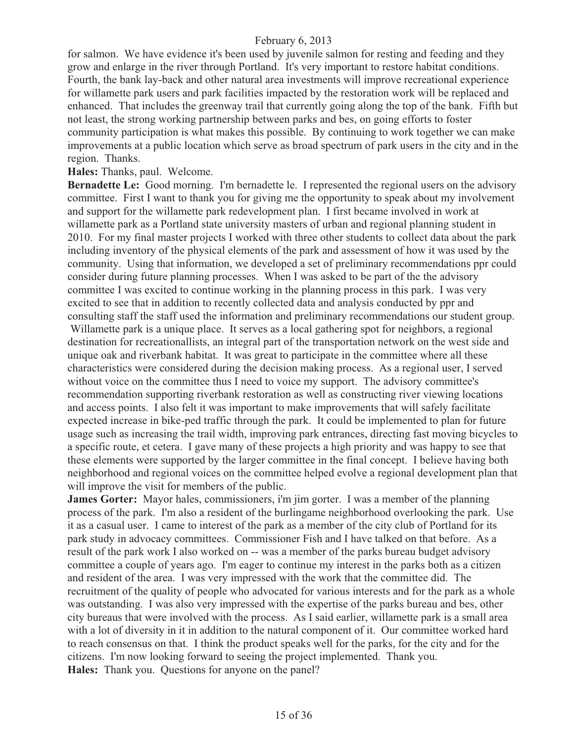for salmon. We have evidence it's been used by juvenile salmon for resting and feeding and they grow and enlarge in the river through Portland. It's very important to restore habitat conditions. Fourth, the bank lay-back and other natural area investments will improve recreational experience for willamette park users and park facilities impacted by the restoration work will be replaced and enhanced. That includes the greenway trail that currently going along the top of the bank. Fifth but not least, the strong working partnership between parks and bes, on going efforts to foster community participation is what makes this possible. By continuing to work together we can make improvements at a public location which serve as broad spectrum of park users in the city and in the region. Thanks.

#### **Hales:** Thanks, paul. Welcome.

**Bernadette Le:** Good morning. I'm bernadette le. I represented the regional users on the advisory committee. First I want to thank you for giving me the opportunity to speak about my involvement and support for the willamette park redevelopment plan. I first became involved in work at willamette park as a Portland state university masters of urban and regional planning student in 2010. For my final master projects I worked with three other students to collect data about the park including inventory of the physical elements of the park and assessment of how it was used by the community. Using that information, we developed a set of preliminary recommendations ppr could consider during future planning processes. When I was asked to be part of the the advisory committee I was excited to continue working in the planning process in this park. I was very excited to see that in addition to recently collected data and analysis conducted by ppr and consulting staff the staff used the information and preliminary recommendations our student group.

 Willamette park is a unique place. It serves as a local gathering spot for neighbors, a regional destination for recreationallists, an integral part of the transportation network on the west side and unique oak and riverbank habitat. It was great to participate in the committee where all these characteristics were considered during the decision making process. As a regional user, I served without voice on the committee thus I need to voice my support. The advisory committee's recommendation supporting riverbank restoration as well as constructing river viewing locations and access points. I also felt it was important to make improvements that will safely facilitate expected increase in bike-ped traffic through the park. It could be implemented to plan for future usage such as increasing the trail width, improving park entrances, directing fast moving bicycles to a specific route, et cetera. I gave many of these projects a high priority and was happy to see that these elements were supported by the larger committee in the final concept. I believe having both neighborhood and regional voices on the committee helped evolve a regional development plan that will improve the visit for members of the public.

**James Gorter:** Mayor hales, commissioners, i'm jim gorter. I was a member of the planning process of the park. I'm also a resident of the burlingame neighborhood overlooking the park. Use it as a casual user. I came to interest of the park as a member of the city club of Portland for its park study in advocacy committees. Commissioner Fish and I have talked on that before. As a result of the park work I also worked on -- was a member of the parks bureau budget advisory committee a couple of years ago. I'm eager to continue my interest in the parks both as a citizen and resident of the area. I was very impressed with the work that the committee did. The recruitment of the quality of people who advocated for various interests and for the park as a whole was outstanding. I was also very impressed with the expertise of the parks bureau and bes, other city bureaus that were involved with the process. As I said earlier, willamette park is a small area with a lot of diversity in it in addition to the natural component of it. Our committee worked hard to reach consensus on that. I think the product speaks well for the parks, for the city and for the citizens. I'm now looking forward to seeing the project implemented. Thank you. **Hales:** Thank you. Questions for anyone on the panel?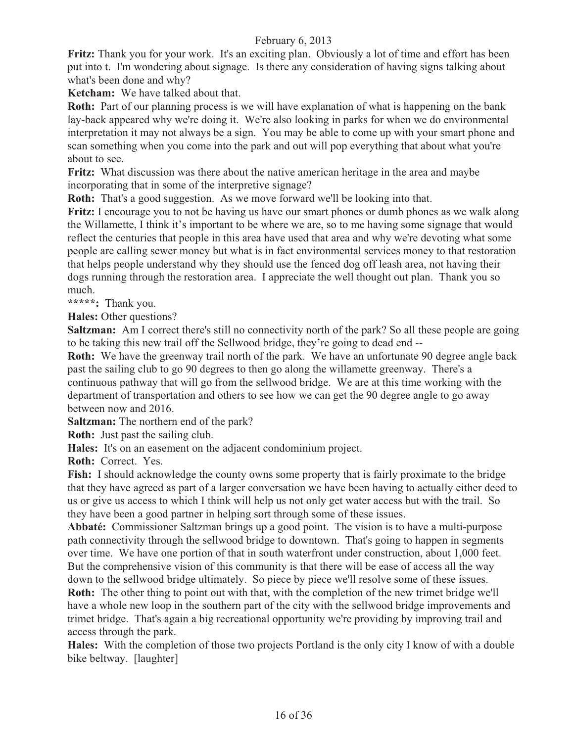**Fritz:** Thank you for your work. It's an exciting plan. Obviously a lot of time and effort has been put into t. I'm wondering about signage. Is there any consideration of having signs talking about what's been done and why?

**Ketcham:** We have talked about that.

**Roth:** Part of our planning process is we will have explanation of what is happening on the bank lay-back appeared why we're doing it. We're also looking in parks for when we do environmental interpretation it may not always be a sign. You may be able to come up with your smart phone and scan something when you come into the park and out will pop everything that about what you're about to see.

**Fritz:** What discussion was there about the native american heritage in the area and maybe incorporating that in some of the interpretive signage?

**Roth:** That's a good suggestion. As we move forward we'll be looking into that.

**Fritz:** I encourage you to not be having us have our smart phones or dumb phones as we walk along the Willamette, I think it's important to be where we are, so to me having some signage that would reflect the centuries that people in this area have used that area and why we're devoting what some people are calling sewer money but what is in fact environmental services money to that restoration that helps people understand why they should use the fenced dog off leash area, not having their dogs running through the restoration area. I appreciate the well thought out plan. Thank you so much.

**\*\*\*\*\*:** Thank you.

**Hales:** Other questions?

**Saltzman:** Am I correct there's still no connectivity north of the park? So all these people are going to be taking this new trail off the Sellwood bridge, they're going to dead end --

**Roth:** We have the greenway trail north of the park. We have an unfortunate 90 degree angle back past the sailing club to go 90 degrees to then go along the willamette greenway. There's a continuous pathway that will go from the sellwood bridge. We are at this time working with the department of transportation and others to see how we can get the 90 degree angle to go away between now and 2016.

**Saltzman:** The northern end of the park?

**Roth:** Just past the sailing club.

**Hales:** It's on an easement on the adjacent condominium project.

**Roth:** Correct. Yes.

**Fish:** I should acknowledge the county owns some property that is fairly proximate to the bridge that they have agreed as part of a larger conversation we have been having to actually either deed to us or give us access to which I think will help us not only get water access but with the trail. So they have been a good partner in helping sort through some of these issues.

**Abbaté:** Commissioner Saltzman brings up a good point. The vision is to have a multi-purpose path connectivity through the sellwood bridge to downtown. That's going to happen in segments over time. We have one portion of that in south waterfront under construction, about 1,000 feet. But the comprehensive vision of this community is that there will be ease of access all the way down to the sellwood bridge ultimately. So piece by piece we'll resolve some of these issues.

**Roth:** The other thing to point out with that, with the completion of the new trimet bridge we'll have a whole new loop in the southern part of the city with the sellwood bridge improvements and trimet bridge. That's again a big recreational opportunity we're providing by improving trail and access through the park.

**Hales:** With the completion of those two projects Portland is the only city I know of with a double bike beltway. [laughter]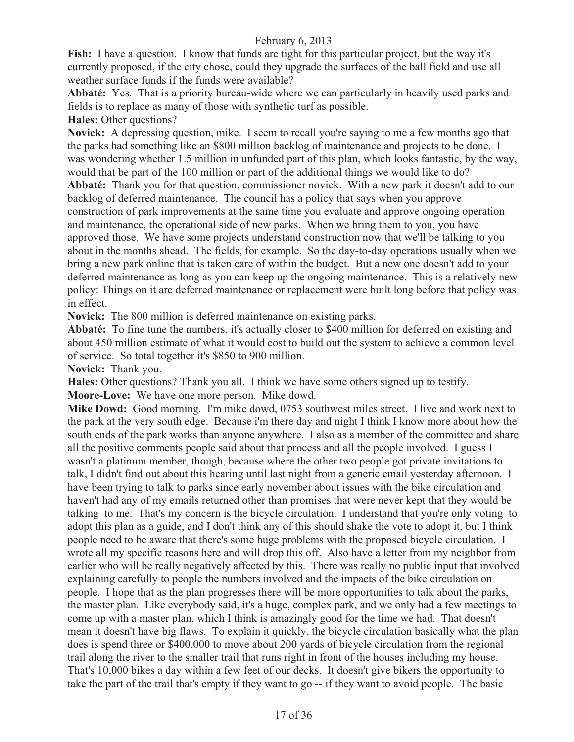**Fish:** I have a question. I know that funds are tight for this particular project, but the way it's currently proposed, if the city chose, could they upgrade the surfaces of the ball field and use all weather surface funds if the funds were available?

**Abbaté:** Yes. That is a priority bureau-wide where we can particularly in heavily used parks and fields is to replace as many of those with synthetic turf as possible.

**Hales:** Other questions?

**Novick:** A depressing question, mike. I seem to recall you're saying to me a few months ago that the parks had something like an \$800 million backlog of maintenance and projects to be done. I was wondering whether 1.5 million in unfunded part of this plan, which looks fantastic, by the way, would that be part of the 100 million or part of the additional things we would like to do? **Abbaté:** Thank you for that question, commissioner novick. With a new park it doesn't add to our backlog of deferred maintenance. The council has a policy that says when you approve construction of park improvements at the same time you evaluate and approve ongoing operation and maintenance, the operational side of new parks. When we bring them to you, you have approved those. We have some projects understand construction now that we'll be talking to you about in the months ahead. The fields, for example. So the day-to-day operations usually when we bring a new park online that is taken care of within the budget. But a new one doesn't add to your deferred maintenance as long as you can keep up the ongoing maintenance. This is a relatively new policy: Things on it are deferred maintenance or replacement were built long before that policy was in effect.

**Novick:** The 800 million is deferred maintenance on existing parks.

**Abbaté:** To fine tune the numbers, it's actually closer to \$400 million for deferred on existing and about 450 million estimate of what it would cost to build out the system to achieve a common level of service. So total together it's \$850 to 900 million.

**Novick:** Thank you.

**Hales:** Other questions? Thank you all. I think we have some others signed up to testify.

**Moore-Love:** We have one more person. Mike dowd.

**Mike Dowd:** Good morning. I'm mike dowd, 0753 southwest miles street. I live and work next to the park at the very south edge. Because i'm there day and night I think I know more about how the south ends of the park works than anyone anywhere. I also as a member of the committee and share all the positive comments people said about that process and all the people involved. I guess I wasn't a platinum member, though, because where the other two people got private invitations to talk, I didn't find out about this hearing until last night from a generic email yesterday afternoon. I have been trying to talk to parks since early november about issues with the bike circulation and haven't had any of my emails returned other than promises that were never kept that they would be talking to me. That's my concern is the bicycle circulation. I understand that you're only voting to adopt this plan as a guide, and I don't think any of this should shake the vote to adopt it, but I think people need to be aware that there's some huge problems with the proposed bicycle circulation. I wrote all my specific reasons here and will drop this off. Also have a letter from my neighbor from earlier who will be really negatively affected by this. There was really no public input that involved explaining carefully to people the numbers involved and the impacts of the bike circulation on people. I hope that as the plan progresses there will be more opportunities to talk about the parks, the master plan. Like everybody said, it's a huge, complex park, and we only had a few meetings to come up with a master plan, which I think is amazingly good for the time we had. That doesn't mean it doesn't have big flaws. To explain it quickly, the bicycle circulation basically what the plan does is spend three or \$400,000 to move about 200 yards of bicycle circulation from the regional trail along the river to the smaller trail that runs right in front of the houses including my house. That's 10,000 bikes a day within a few feet of our decks. It doesn't give bikers the opportunity to take the part of the trail that's empty if they want to go -- if they want to avoid people. The basic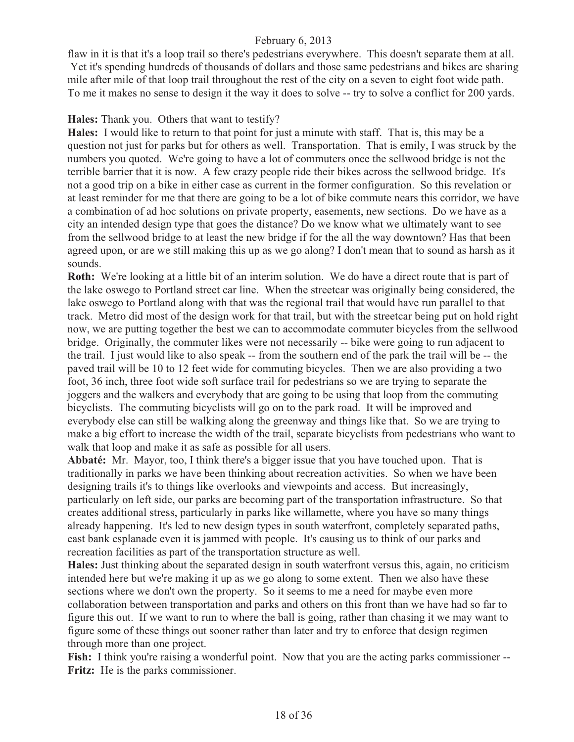flaw in it is that it's a loop trail so there's pedestrians everywhere. This doesn't separate them at all. Yet it's spending hundreds of thousands of dollars and those same pedestrians and bikes are sharing mile after mile of that loop trail throughout the rest of the city on a seven to eight foot wide path. To me it makes no sense to design it the way it does to solve -- try to solve a conflict for 200 yards.

#### **Hales:** Thank you. Others that want to testify?

**Hales:** I would like to return to that point for just a minute with staff. That is, this may be a question not just for parks but for others as well. Transportation. That is emily, I was struck by the numbers you quoted. We're going to have a lot of commuters once the sellwood bridge is not the terrible barrier that it is now. A few crazy people ride their bikes across the sellwood bridge. It's not a good trip on a bike in either case as current in the former configuration. So this revelation or at least reminder for me that there are going to be a lot of bike commute nears this corridor, we have a combination of ad hoc solutions on private property, easements, new sections. Do we have as a city an intended design type that goes the distance? Do we know what we ultimately want to see from the sellwood bridge to at least the new bridge if for the all the way downtown? Has that been agreed upon, or are we still making this up as we go along? I don't mean that to sound as harsh as it sounds.

**Roth:** We're looking at a little bit of an interim solution. We do have a direct route that is part of the lake oswego to Portland street car line. When the streetcar was originally being considered, the lake oswego to Portland along with that was the regional trail that would have run parallel to that track. Metro did most of the design work for that trail, but with the streetcar being put on hold right now, we are putting together the best we can to accommodate commuter bicycles from the sellwood bridge. Originally, the commuter likes were not necessarily -- bike were going to run adjacent to the trail. I just would like to also speak -- from the southern end of the park the trail will be -- the paved trail will be 10 to 12 feet wide for commuting bicycles. Then we are also providing a two foot, 36 inch, three foot wide soft surface trail for pedestrians so we are trying to separate the joggers and the walkers and everybody that are going to be using that loop from the commuting bicyclists. The commuting bicyclists will go on to the park road. It will be improved and everybody else can still be walking along the greenway and things like that. So we are trying to make a big effort to increase the width of the trail, separate bicyclists from pedestrians who want to walk that loop and make it as safe as possible for all users.

**Abbaté:** Mr. Mayor, too, I think there's a bigger issue that you have touched upon. That is traditionally in parks we have been thinking about recreation activities. So when we have been designing trails it's to things like overlooks and viewpoints and access. But increasingly, particularly on left side, our parks are becoming part of the transportation infrastructure. So that creates additional stress, particularly in parks like willamette, where you have so many things already happening. It's led to new design types in south waterfront, completely separated paths, east bank esplanade even it is jammed with people. It's causing us to think of our parks and recreation facilities as part of the transportation structure as well.

**Hales:** Just thinking about the separated design in south waterfront versus this, again, no criticism intended here but we're making it up as we go along to some extent. Then we also have these sections where we don't own the property. So it seems to me a need for maybe even more collaboration between transportation and parks and others on this front than we have had so far to figure this out. If we want to run to where the ball is going, rather than chasing it we may want to figure some of these things out sooner rather than later and try to enforce that design regimen through more than one project.

**Fish:** I think you're raising a wonderful point. Now that you are the acting parks commissioner --Fritz: He is the parks commissioner.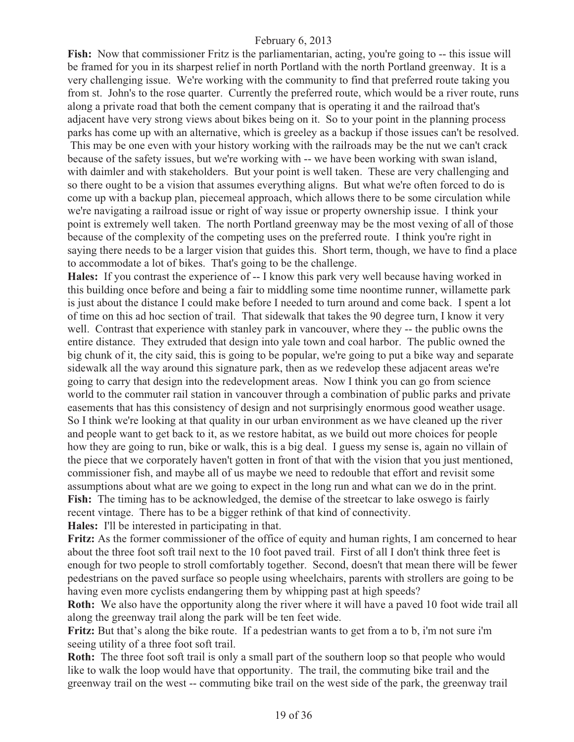**Fish:** Now that commissioner Fritz is the parliamentarian, acting, you're going to -- this issue will be framed for you in its sharpest relief in north Portland with the north Portland greenway. It is a very challenging issue. We're working with the community to find that preferred route taking you from st. John's to the rose quarter. Currently the preferred route, which would be a river route, runs along a private road that both the cement company that is operating it and the railroad that's adjacent have very strong views about bikes being on it. So to your point in the planning process parks has come up with an alternative, which is greeley as a backup if those issues can't be resolved.

 This may be one even with your history working with the railroads may be the nut we can't crack because of the safety issues, but we're working with -- we have been working with swan island, with daimler and with stakeholders. But your point is well taken. These are very challenging and so there ought to be a vision that assumes everything aligns. But what we're often forced to do is come up with a backup plan, piecemeal approach, which allows there to be some circulation while we're navigating a railroad issue or right of way issue or property ownership issue. I think your point is extremely well taken. The north Portland greenway may be the most vexing of all of those because of the complexity of the competing uses on the preferred route. I think you're right in saying there needs to be a larger vision that guides this. Short term, though, we have to find a place to accommodate a lot of bikes. That's going to be the challenge.

**Hales:** If you contrast the experience of -- I know this park very well because having worked in this building once before and being a fair to middling some time noontime runner, willamette park is just about the distance I could make before I needed to turn around and come back. I spent a lot of time on this ad hoc section of trail. That sidewalk that takes the 90 degree turn, I know it very well. Contrast that experience with stanley park in vancouver, where they -- the public owns the entire distance. They extruded that design into yale town and coal harbor. The public owned the big chunk of it, the city said, this is going to be popular, we're going to put a bike way and separate sidewalk all the way around this signature park, then as we redevelop these adjacent areas we're going to carry that design into the redevelopment areas. Now I think you can go from science world to the commuter rail station in vancouver through a combination of public parks and private easements that has this consistency of design and not surprisingly enormous good weather usage. So I think we're looking at that quality in our urban environment as we have cleaned up the river and people want to get back to it, as we restore habitat, as we build out more choices for people how they are going to run, bike or walk, this is a big deal. I guess my sense is, again no villain of the piece that we corporately haven't gotten in front of that with the vision that you just mentioned, commissioner fish, and maybe all of us maybe we need to redouble that effort and revisit some assumptions about what are we going to expect in the long run and what can we do in the print. **Fish:** The timing has to be acknowledged, the demise of the streetcar to lake oswego is fairly recent vintage. There has to be a bigger rethink of that kind of connectivity. **Hales:** I'll be interested in participating in that.

**Fritz:** As the former commissioner of the office of equity and human rights, I am concerned to hear about the three foot soft trail next to the 10 foot paved trail. First of all I don't think three feet is enough for two people to stroll comfortably together. Second, doesn't that mean there will be fewer pedestrians on the paved surface so people using wheelchairs, parents with strollers are going to be having even more cyclists endangering them by whipping past at high speeds?

**Roth:** We also have the opportunity along the river where it will have a paved 10 foot wide trail all along the greenway trail along the park will be ten feet wide.

**Fritz:** But that's along the bike route. If a pedestrian wants to get from a to b, i'm not sure i'm seeing utility of a three foot soft trail.

**Roth:** The three foot soft trail is only a small part of the southern loop so that people who would like to walk the loop would have that opportunity. The trail, the commuting bike trail and the greenway trail on the west -- commuting bike trail on the west side of the park, the greenway trail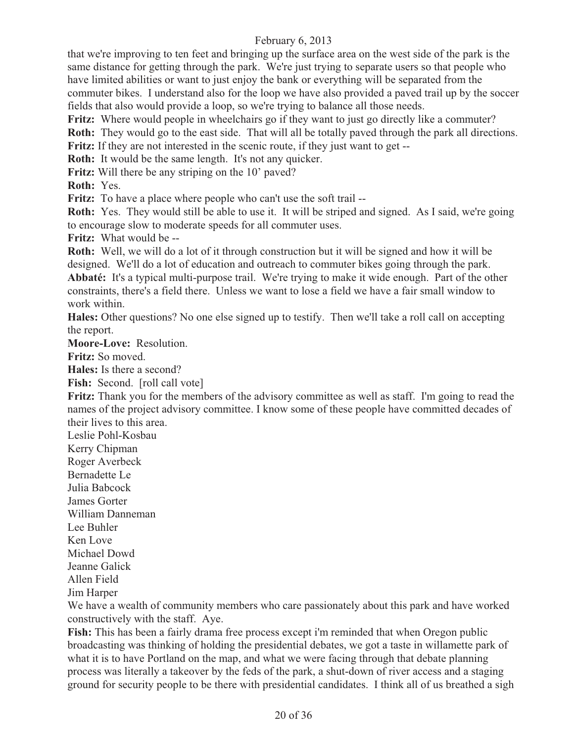that we're improving to ten feet and bringing up the surface area on the west side of the park is the same distance for getting through the park. We're just trying to separate users so that people who have limited abilities or want to just enjoy the bank or everything will be separated from the commuter bikes. I understand also for the loop we have also provided a paved trail up by the soccer fields that also would provide a loop, so we're trying to balance all those needs.

**Fritz:** Where would people in wheelchairs go if they want to just go directly like a commuter? **Roth:** They would go to the east side. That will all be totally paved through the park all directions. **Fritz:** If they are not interested in the scenic route, if they just want to get --

**Roth:** It would be the same length. It's not any quicker.

Fritz: Will there be any striping on the 10' paved?

**Roth:** Yes.

**Fritz:** To have a place where people who can't use the soft trail --

**Roth:** Yes. They would still be able to use it. It will be striped and signed. As I said, we're going to encourage slow to moderate speeds for all commuter uses.

**Fritz:** What would be --

**Roth:** Well, we will do a lot of it through construction but it will be signed and how it will be designed. We'll do a lot of education and outreach to commuter bikes going through the park. **Abbaté:** It's a typical multi-purpose trail. We're trying to make it wide enough. Part of the other constraints, there's a field there. Unless we want to lose a field we have a fair small window to work within.

**Hales:** Other questions? No one else signed up to testify. Then we'll take a roll call on accepting the report.

**Moore-Love:** Resolution.

**Fritz:** So moved.

**Hales:** Is there a second?

Fish: Second. [roll call vote]

**Fritz:** Thank you for the members of the advisory committee as well as staff. I'm going to read the names of the project advisory committee. I know some of these people have committed decades of their lives to this area.

Leslie Pohl-Kosbau

Kerry Chipman

Roger Averbeck

Bernadette Le

Julia Babcock

James Gorter William Danneman

Lee Buhler

Ken Love

Michael Dowd

Jeanne Galick

Allen Field

Jim Harper

We have a wealth of community members who care passionately about this park and have worked constructively with the staff. Aye.

**Fish:** This has been a fairly drama free process except i'm reminded that when Oregon public broadcasting was thinking of holding the presidential debates, we got a taste in willamette park of what it is to have Portland on the map, and what we were facing through that debate planning process was literally a takeover by the feds of the park, a shut-down of river access and a staging ground for security people to be there with presidential candidates. I think all of us breathed a sigh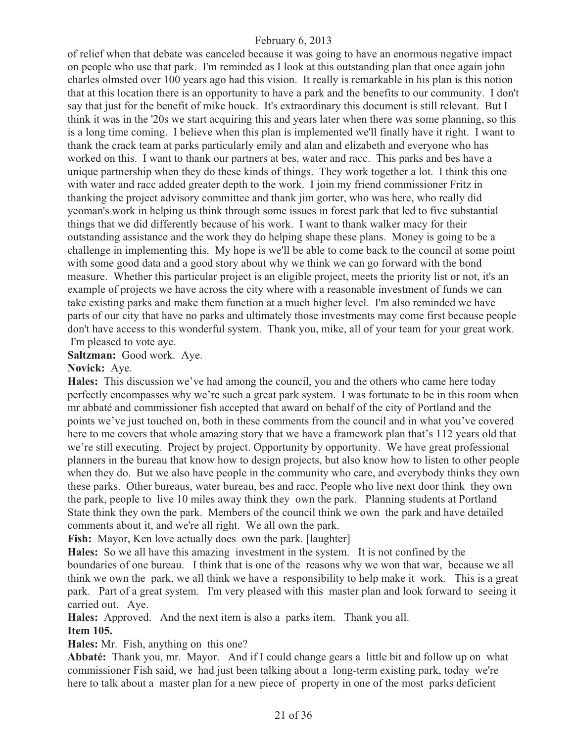of relief when that debate was canceled because it was going to have an enormous negative impact on people who use that park. I'm reminded as I look at this outstanding plan that once again john charles olmsted over 100 years ago had this vision. It really is remarkable in his plan is this notion that at this location there is an opportunity to have a park and the benefits to our community. I don't say that just for the benefit of mike houck. It's extraordinary this document is still relevant. But I think it was in the '20s we start acquiring this and years later when there was some planning, so this is a long time coming. I believe when this plan is implemented we'll finally have it right. I want to thank the crack team at parks particularly emily and alan and elizabeth and everyone who has worked on this. I want to thank our partners at bes, water and racc. This parks and bes have a unique partnership when they do these kinds of things. They work together a lot. I think this one with water and racc added greater depth to the work. I join my friend commissioner Fritz in thanking the project advisory committee and thank jim gorter, who was here, who really did yeoman's work in helping us think through some issues in forest park that led to five substantial things that we did differently because of his work. I want to thank walker macy for their outstanding assistance and the work they do helping shape these plans. Money is going to be a challenge in implementing this. My hope is we'll be able to come back to the council at some point with some good data and a good story about why we think we can go forward with the bond measure. Whether this particular project is an eligible project, meets the priority list or not, it's an example of projects we have across the city where with a reasonable investment of funds we can take existing parks and make them function at a much higher level. I'm also reminded we have parts of our city that have no parks and ultimately those investments may come first because people don't have access to this wonderful system. Thank you, mike, all of your team for your great work. I'm pleased to vote aye.

**Saltzman:** Good work. Aye.

#### **Novick:** Aye.

**Hales:** This discussion we've had among the council, you and the others who came here today perfectly encompasses why we're such a great park system. I was fortunate to be in this room when mr abbaté and commissioner fish accepted that award on behalf of the city of Portland and the points we've just touched on, both in these comments from the council and in what you've covered here to me covers that whole amazing story that we have a framework plan that's 112 years old that we're still executing. Project by project. Opportunity by opportunity. We have great professional planners in the bureau that know how to design projects, but also know how to listen to other people when they do. But we also have people in the community who care, and everybody thinks they own these parks. Other bureaus, water bureau, bes and racc. People who live next door think they own the park, people to live 10 miles away think they own the park. Planning students at Portland State think they own the park. Members of the council think we own the park and have detailed comments about it, and we're all right. We all own the park.

Fish: Mayor, Ken love actually does own the park. [laughter]

**Hales:** So we all have this amazing investment in the system. It is not confined by the boundaries of one bureau. I think that is one of the reasons why we won that war, because we all think we own the park, we all think we have a responsibility to help make it work. This is a great park. Part of a great system. I'm very pleased with this master plan and look forward to seeing it carried out. Aye.

**Hales:** Approved. And the next item is also a parks item. Thank you all.

#### **Item 105.**

**Hales:** Mr. Fish, anything on this one?

**Abbaté:** Thank you, mr. Mayor. And if I could change gears a little bit and follow up on what commissioner Fish said, we had just been talking about a long-term existing park, today we're here to talk about a master plan for a new piece of property in one of the most parks deficient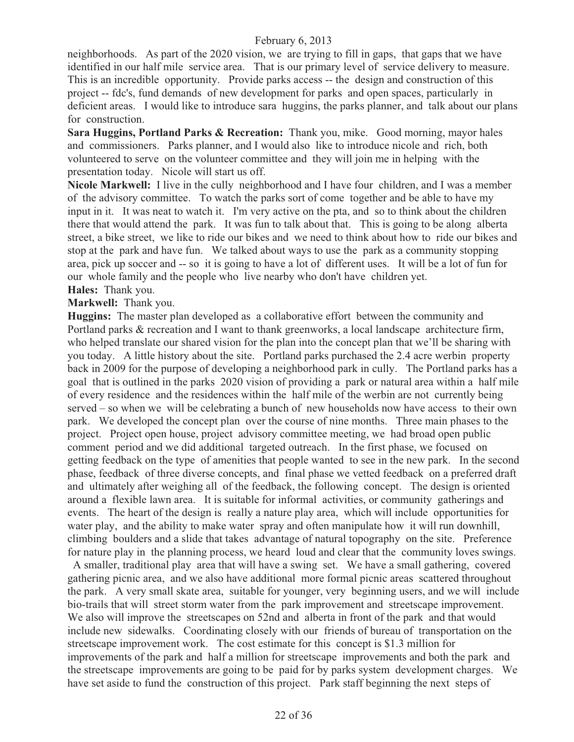neighborhoods. As part of the 2020 vision, we are trying to fill in gaps, that gaps that we have identified in our half mile service area. That is our primary level of service delivery to measure. This is an incredible opportunity. Provide parks access -- the design and construction of this project -- fdc's, fund demands of new development for parks and open spaces, particularly in deficient areas. I would like to introduce sara huggins, the parks planner, and talk about our plans for construction.

**Sara Huggins, Portland Parks & Recreation:** Thank you, mike. Good morning, mayor hales and commissioners. Parks planner, and I would also like to introduce nicole and rich, both volunteered to serve on the volunteer committee and they will join me in helping with the presentation today. Nicole will start us off.

**Nicole Markwell:** I live in the cully neighborhood and I have four children, and I was a member of the advisory committee. To watch the parks sort of come together and be able to have my input in it. It was neat to watch it. I'm very active on the pta, and so to think about the children there that would attend the park. It was fun to talk about that. This is going to be along alberta street, a bike street, we like to ride our bikes and we need to think about how to ride our bikes and stop at the park and have fun. We talked about ways to use the park as a community stopping area, pick up soccer and -- so it is going to have a lot of different uses. It will be a lot of fun for our whole family and the people who live nearby who don't have children yet.

## **Hales:** Thank you.

**Markwell:** Thank you.

**Huggins:** The master plan developed as a collaborative effort between the community and Portland parks & recreation and I want to thank greenworks, a local landscape architecture firm, who helped translate our shared vision for the plan into the concept plan that we'll be sharing with you today. A little history about the site. Portland parks purchased the 2.4 acre werbin property back in 2009 for the purpose of developing a neighborhood park in cully. The Portland parks has a goal that is outlined in the parks 2020 vision of providing a park or natural area within a half mile of every residence and the residences within the half mile of the werbin are not currently being served – so when we will be celebrating a bunch of new households now have access to their own park. We developed the concept plan over the course of nine months. Three main phases to the project. Project open house, project advisory committee meeting, we had broad open public comment period and we did additional targeted outreach. In the first phase, we focused on getting feedback on the type of amenities that people wanted to see in the new park. In the second phase, feedback of three diverse concepts, and final phase we vetted feedback on a preferred draft and ultimately after weighing all of the feedback, the following concept. The design is oriented around a flexible lawn area. It is suitable for informal activities, or community gatherings and events. The heart of the design is really a nature play area, which will include opportunities for water play, and the ability to make water spray and often manipulate how it will run downhill, climbing boulders and a slide that takes advantage of natural topography on the site. Preference for nature play in the planning process, we heard loud and clear that the community loves swings.

 A smaller, traditional play area that will have a swing set. We have a small gathering, covered gathering picnic area, and we also have additional more formal picnic areas scattered throughout the park. A very small skate area, suitable for younger, very beginning users, and we will include bio-trails that will street storm water from the park improvement and streetscape improvement. We also will improve the streetscapes on 52nd and alberta in front of the park and that would include new sidewalks. Coordinating closely with our friends of bureau of transportation on the streetscape improvement work. The cost estimate for this concept is \$1.3 million for improvements of the park and half a million for streetscape improvements and both the park and the streetscape improvements are going to be paid for by parks system development charges. We have set aside to fund the construction of this project. Park staff beginning the next steps of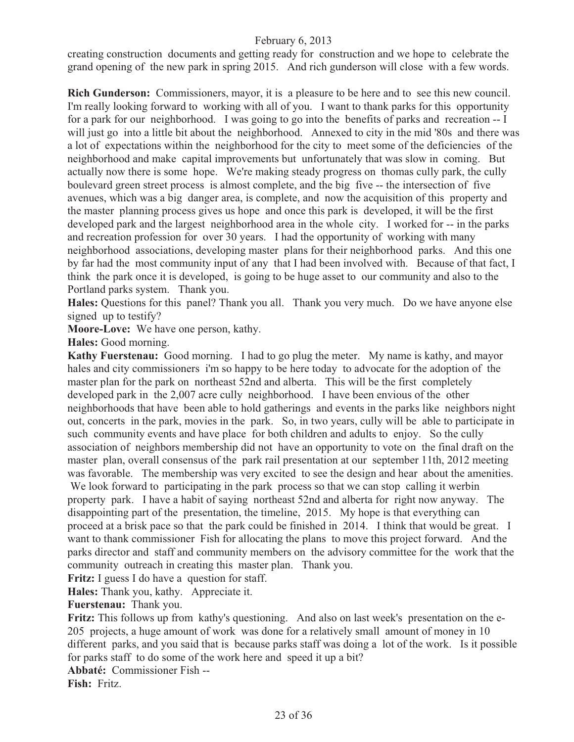creating construction documents and getting ready for construction and we hope to celebrate the grand opening of the new park in spring 2015. And rich gunderson will close with a few words.

**Rich Gunderson:** Commissioners, mayor, it is a pleasure to be here and to see this new council. I'm really looking forward to working with all of you. I want to thank parks for this opportunity for a park for our neighborhood. I was going to go into the benefits of parks and recreation -- I will just go into a little bit about the neighborhood. Annexed to city in the mid '80s and there was a lot of expectations within the neighborhood for the city to meet some of the deficiencies of the neighborhood and make capital improvements but unfortunately that was slow in coming. But actually now there is some hope. We're making steady progress on thomas cully park, the cully boulevard green street process is almost complete, and the big five -- the intersection of five avenues, which was a big danger area, is complete, and now the acquisition of this property and the master planning process gives us hope and once this park is developed, it will be the first developed park and the largest neighborhood area in the whole city. I worked for -- in the parks and recreation profession for over 30 years. I had the opportunity of working with many neighborhood associations, developing master plans for their neighborhood parks. And this one by far had the most community input of any that I had been involved with. Because of that fact, I think the park once it is developed, is going to be huge asset to our community and also to the Portland parks system. Thank you.

**Hales:** Questions for this panel? Thank you all. Thank you very much. Do we have anyone else signed up to testify?

**Moore-Love:** We have one person, kathy.

**Hales:** Good morning.

**Kathy Fuerstenau:** Good morning. I had to go plug the meter. My name is kathy, and mayor hales and city commissioners i'm so happy to be here today to advocate for the adoption of the master plan for the park on northeast 52nd and alberta. This will be the first completely developed park in the 2,007 acre cully neighborhood. I have been envious of the other neighborhoods that have been able to hold gatherings and events in the parks like neighbors night out, concerts in the park, movies in the park. So, in two years, cully will be able to participate in such community events and have place for both children and adults to enjoy. So the cully association of neighbors membership did not have an opportunity to vote on the final draft on the master plan, overall consensus of the park rail presentation at our september 11th, 2012 meeting was favorable. The membership was very excited to see the design and hear about the amenities.

We look forward to participating in the park process so that we can stop calling it werbin property park. I have a habit of saying northeast 52nd and alberta for right now anyway. The disappointing part of the presentation, the timeline, 2015. My hope is that everything can proceed at a brisk pace so that the park could be finished in 2014. I think that would be great. I want to thank commissioner Fish for allocating the plans to move this project forward. And the parks director and staff and community members on the advisory committee for the work that the community outreach in creating this master plan. Thank you.

**Fritz:** I guess I do have a question for staff.

**Hales:** Thank you, kathy. Appreciate it.

**Fuerstenau:** Thank you.

**Fritz:** This follows up from kathy's questioning. And also on last week's presentation on the e-205 projects, a huge amount of work was done for a relatively small amount of money in 10 different parks, and you said that is because parks staff was doing a lot of the work. Is it possible for parks staff to do some of the work here and speed it up a bit?

**Abbaté:** Commissioner Fish --

**Fish:** Fritz.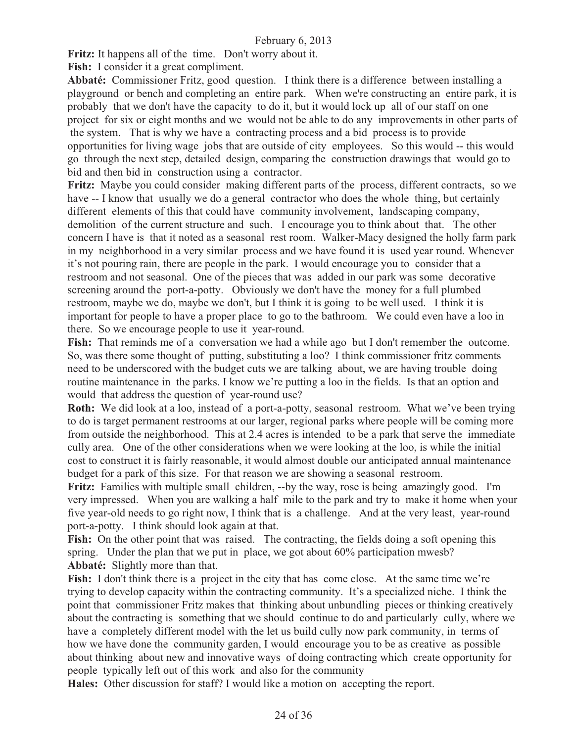**Fritz:** It happens all of the time. Don't worry about it.

**Fish:** I consider it a great compliment.

**Abbaté:** Commissioner Fritz, good question. I think there is a difference between installing a playground or bench and completing an entire park. When we're constructing an entire park, it is probably that we don't have the capacity to do it, but it would lock up all of our staff on one project for six or eight months and we would not be able to do any improvements in other parts of the system. That is why we have a contracting process and a bid process is to provide opportunities for living wage jobs that are outside of city employees. So this would -- this would go through the next step, detailed design, comparing the construction drawings that would go to bid and then bid in construction using a contractor.

Fritz: Maybe you could consider making different parts of the process, different contracts, so we have -- I know that usually we do a general contractor who does the whole thing, but certainly different elements of this that could have community involvement, landscaping company, demolition of the current structure and such. I encourage you to think about that. The other concern I have is that it noted as a seasonal rest room. Walker-Macy designed the holly farm park in my neighborhood in a very similar process and we have found it is used year round. Whenever it's not pouring rain, there are people in the park. I would encourage you to consider that a restroom and not seasonal. One of the pieces that was added in our park was some decorative screening around the port-a-potty. Obviously we don't have the money for a full plumbed restroom, maybe we do, maybe we don't, but I think it is going to be well used. I think it is important for people to have a proper place to go to the bathroom. We could even have a loo in there. So we encourage people to use it year-round.

**Fish:** That reminds me of a conversation we had a while ago but I don't remember the outcome. So, was there some thought of putting, substituting a loo? I think commissioner fritz comments need to be underscored with the budget cuts we are talking about, we are having trouble doing routine maintenance in the parks. I know we're putting a loo in the fields. Is that an option and would that address the question of year-round use?

**Roth:** We did look at a loo, instead of a port-a-potty, seasonal restroom. What we've been trying to do is target permanent restrooms at our larger, regional parks where people will be coming more from outside the neighborhood. This at 2.4 acres is intended to be a park that serve the immediate cully area. One of the other considerations when we were looking at the loo, is while the initial cost to construct it is fairly reasonable, it would almost double our anticipated annual maintenance budget for a park of this size. For that reason we are showing a seasonal restroom.

**Fritz:** Families with multiple small children, --by the way, rose is being amazingly good. I'm very impressed. When you are walking a half mile to the park and try to make it home when your five year-old needs to go right now, I think that is a challenge. And at the very least, year-round port-a-potty. I think should look again at that.

Fish: On the other point that was raised. The contracting, the fields doing a soft opening this spring. Under the plan that we put in place, we got about 60% participation mwesb? **Abbaté:** Slightly more than that.

Fish: I don't think there is a project in the city that has come close. At the same time we're trying to develop capacity within the contracting community. It's a specialized niche. I think the point that commissioner Fritz makes that thinking about unbundling pieces or thinking creatively about the contracting is something that we should continue to do and particularly cully, where we have a completely different model with the let us build cully now park community, in terms of how we have done the community garden, I would encourage you to be as creative as possible about thinking about new and innovative ways of doing contracting which create opportunity for people typically left out of this work and also for the community

**Hales:** Other discussion for staff? I would like a motion on accepting the report.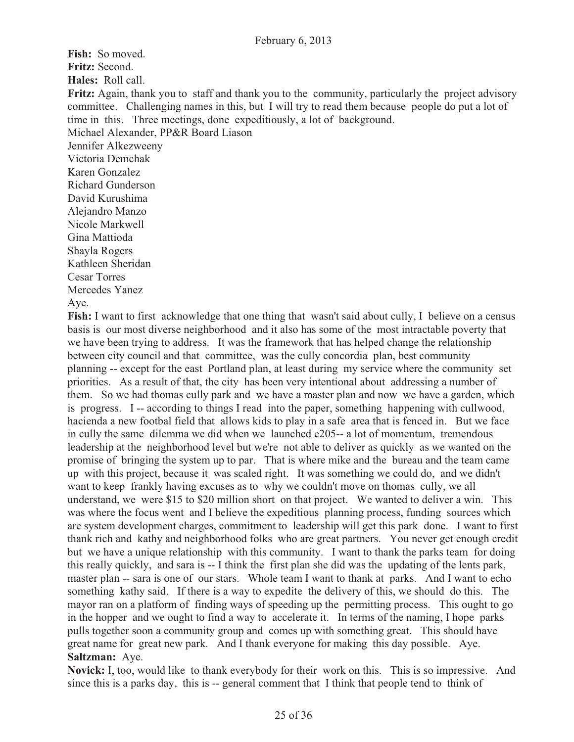**Fish:** So moved. **Fritz:** Second. **Hales:** Roll call. **Fritz:** Again, thank you to staff and thank you to the community, particularly the project advisory committee. Challenging names in this, but I will try to read them because people do put a lot of time in this. Three meetings, done expeditiously, a lot of background. Michael Alexander, PP&R Board Liason Jennifer Alkezweeny Victoria Demchak Karen Gonzalez Richard Gunderson David Kurushima Alejandro Manzo Nicole Markwell Gina Mattioda Shayla Rogers Kathleen Sheridan Cesar Torres Mercedes Yanez

Aye.

Fish: I want to first acknowledge that one thing that wasn't said about cully, I believe on a census basis is our most diverse neighborhood and it also has some of the most intractable poverty that we have been trying to address. It was the framework that has helped change the relationship between city council and that committee, was the cully concordia plan, best community planning -- except for the east Portland plan, at least during my service where the community set priorities. As a result of that, the city has been very intentional about addressing a number of them. So we had thomas cully park and we have a master plan and now we have a garden, which is progress. I -- according to things I read into the paper, something happening with cullwood, hacienda a new footbal field that allows kids to play in a safe area that is fenced in. But we face in cully the same dilemma we did when we launched e205-- a lot of momentum, tremendous leadership at the neighborhood level but we're not able to deliver as quickly as we wanted on the promise of bringing the system up to par. That is where mike and the bureau and the team came up with this project, because it was scaled right. It was something we could do, and we didn't want to keep frankly having excuses as to why we couldn't move on thomas cully, we all understand, we were \$15 to \$20 million short on that project. We wanted to deliver a win. This was where the focus went and I believe the expeditious planning process, funding sources which are system development charges, commitment to leadership will get this park done. I want to first thank rich and kathy and neighborhood folks who are great partners. You never get enough credit but we have a unique relationship with this community. I want to thank the parks team for doing this really quickly, and sara is -- I think the first plan she did was the updating of the lents park, master plan -- sara is one of our stars. Whole team I want to thank at parks. And I want to echo something kathy said. If there is a way to expedite the delivery of this, we should do this. The mayor ran on a platform of finding ways of speeding up the permitting process. This ought to go in the hopper and we ought to find a way to accelerate it. In terms of the naming, I hope parks pulls together soon a community group and comes up with something great. This should have great name for great new park. And I thank everyone for making this day possible. Aye. **Saltzman:** Aye.

**Novick:** I, too, would like to thank everybody for their work on this. This is so impressive. And since this is a parks day, this is -- general comment that I think that people tend to think of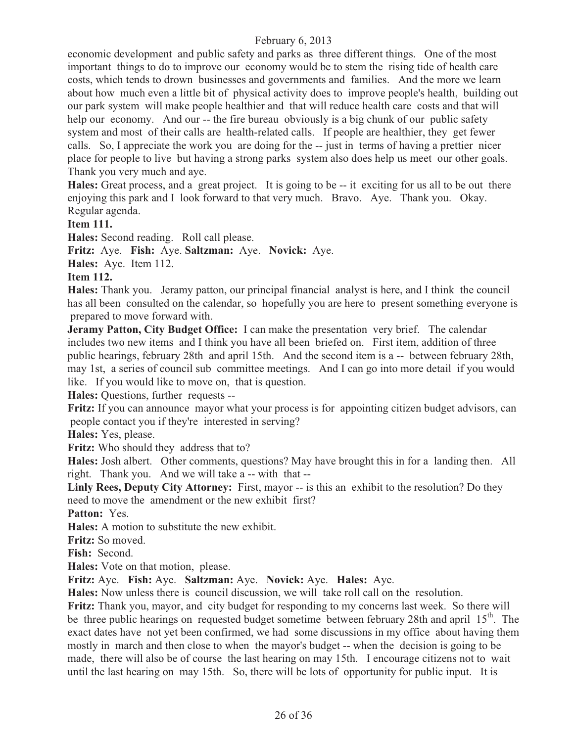economic development and public safety and parks as three different things. One of the most important things to do to improve our economy would be to stem the rising tide of health care costs, which tends to drown businesses and governments and families. And the more we learn about how much even a little bit of physical activity does to improve people's health, building out our park system will make people healthier and that will reduce health care costs and that will help our economy. And our -- the fire bureau obviously is a big chunk of our public safety system and most of their calls are health-related calls. If people are healthier, they get fewer calls. So, I appreciate the work you are doing for the -- just in terms of having a prettier nicer place for people to live but having a strong parks system also does help us meet our other goals. Thank you very much and aye.

**Hales:** Great process, and a great project. It is going to be -- it exciting for us all to be out there enjoying this park and I look forward to that very much. Bravo. Aye. Thank you. Okay. Regular agenda.

**Item 111.**

**Hales:** Second reading. Roll call please.

**Fritz:** Aye. **Fish:** Aye. **Saltzman:** Aye. **Novick:** Aye.

**Hales:** Aye. Item 112.

#### **Item 112.**

**Hales:** Thank you. Jeramy patton, our principal financial analyst is here, and I think the council has all been consulted on the calendar, so hopefully you are here to present something everyone is prepared to move forward with.

**Jeramy Patton, City Budget Office:** I can make the presentation very brief. The calendar includes two new items and I think you have all been briefed on. First item, addition of three public hearings, february 28th and april 15th. And the second item is a -- between february 28th, may 1st, a series of council sub committee meetings. And I can go into more detail if you would like. If you would like to move on, that is question.

**Hales:** Questions, further requests --

**Fritz:** If you can announce mayor what your process is for appointing citizen budget advisors, can people contact you if they're interested in serving?

**Hales:** Yes, please.

**Fritz:** Who should they address that to?

**Hales:** Josh albert. Other comments, questions? May have brought this in for a landing then. All right. Thank you. And we will take a -- with that --

Linly Rees, Deputy City Attorney: First, mayor -- is this an exhibit to the resolution? Do they need to move the amendment or the new exhibit first?

**Patton:** Yes.

**Hales:** A motion to substitute the new exhibit.

**Fritz:** So moved.

**Fish:** Second.

**Hales:** Vote on that motion, please.

**Fritz:** Aye. **Fish:** Aye. **Saltzman:** Aye. **Novick:** Aye. **Hales:** Aye.

**Hales:** Now unless there is council discussion, we will take roll call on the resolution.

**Fritz:** Thank you, mayor, and city budget for responding to my concerns last week. So there will be three public hearings on requested budget sometime between february 28th and april  $15<sup>th</sup>$ . The exact dates have not yet been confirmed, we had some discussions in my office about having them mostly in march and then close to when the mayor's budget -- when the decision is going to be made, there will also be of course the last hearing on may 15th. I encourage citizens not to wait until the last hearing on may 15th. So, there will be lots of opportunity for public input. It is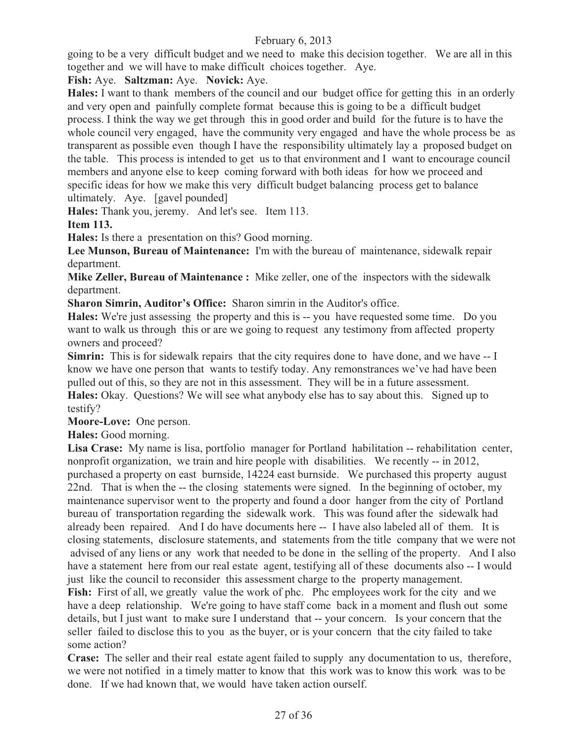going to be a very difficult budget and we need to make this decision together. We are all in this together and we will have to make difficult choices together. Aye.

**Fish:** Aye. **Saltzman:** Aye. **Novick:** Aye.

**Hales:** I want to thank members of the council and our budget office for getting this in an orderly and very open and painfully complete format because this is going to be a difficult budget process. I think the way we get through this in good order and build for the future is to have the whole council very engaged, have the community very engaged and have the whole process be as transparent as possible even though I have the responsibility ultimately lay a proposed budget on the table. This process is intended to get us to that environment and I want to encourage council members and anyone else to keep coming forward with both ideas for how we proceed and specific ideas for how we make this very difficult budget balancing process get to balance ultimately. Aye. [gavel pounded]

**Hales:** Thank you, jeremy. And let's see. Item 113.

**Item 113.**

**Hales:** Is there a presentation on this? Good morning.

**Lee Munson, Bureau of Maintenance:** I'm with the bureau of maintenance, sidewalk repair department.

**Mike Zeller, Bureau of Maintenance :** Mike zeller, one of the inspectors with the sidewalk department.

**Sharon Simrin, Auditor's Office:** Sharon simrin in the Auditor's office.

**Hales:** We're just assessing the property and this is -- you have requested some time. Do you want to walk us through this or are we going to request any testimony from affected property owners and proceed?

**Simrin:** This is for sidewalk repairs that the city requires done to have done, and we have -- I know we have one person that wants to testify today. Any remonstrances we've had have been pulled out of this, so they are not in this assessment. They will be in a future assessment. **Hales:** Okay. Questions? We will see what anybody else has to say about this. Signed up to testify?

**Moore-Love:** One person.

**Hales:** Good morning.

**Lisa Crase:** My name is lisa, portfolio manager for Portland habilitation -- rehabilitation center, nonprofit organization, we train and hire people with disabilities. We recently -- in 2012, purchased a property on east burnside, 14224 east burnside. We purchased this property august 22nd. That is when the -- the closing statements were signed. In the beginning of october, my maintenance supervisor went to the property and found a door hanger from the city of Portland bureau of transportation regarding the sidewalk work. This was found after the sidewalk had already been repaired. And I do have documents here -- I have also labeled all of them. It is closing statements, disclosure statements, and statements from the title company that we were not advised of any liens or any work that needed to be done in the selling of the property. And I also have a statement here from our real estate agent, testifying all of these documents also -- I would just like the council to reconsider this assessment charge to the property management.

Fish: First of all, we greatly value the work of phc. Phc employees work for the city and we have a deep relationship. We're going to have staff come back in a moment and flush out some details, but I just want to make sure I understand that -- your concern. Is your concern that the seller failed to disclose this to you as the buyer, or is your concern that the city failed to take some action?

**Crase:** The seller and their real estate agent failed to supply any documentation to us, therefore, we were not notified in a timely matter to know that this work was to know this work was to be done. If we had known that, we would have taken action ourself.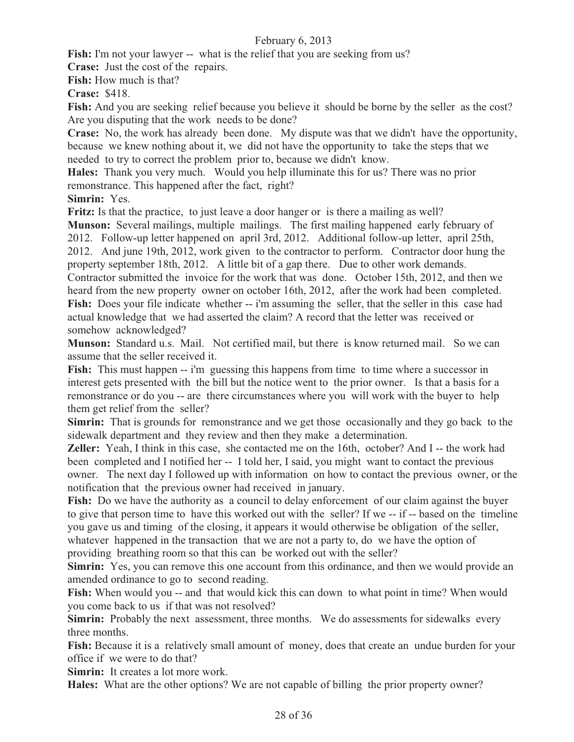**Fish:** I'm not your lawyer -- what is the relief that you are seeking from us?

**Crase:** Just the cost of the repairs.

**Fish:** How much is that?

**Crase:** \$418.

Fish: And you are seeking relief because you believe it should be borne by the seller as the cost? Are you disputing that the work needs to be done?

**Crase:** No, the work has already been done. My dispute was that we didn't have the opportunity, because we knew nothing about it, we did not have the opportunity to take the steps that we needed to try to correct the problem prior to, because we didn't know.

**Hales:** Thank you very much. Would you help illuminate this for us? There was no prior remonstrance. This happened after the fact, right?

**Simrin:** Yes.

**Fritz:** Is that the practice, to just leave a door hanger or is there a mailing as well?

**Munson:** Several mailings, multiple mailings. The first mailing happened early february of 2012. Follow-up letter happened on april 3rd, 2012. Additional follow-up letter, april 25th, 2012. And june 19th, 2012, work given to the contractor to perform. Contractor door hung the property september 18th, 2012. A little bit of a gap there. Due to other work demands.

Contractor submitted the invoice for the work that was done. October 15th, 2012, and then we heard from the new property owner on october 16th, 2012, after the work had been completed. Fish: Does your file indicate whether -- i'm assuming the seller, that the seller in this case had actual knowledge that we had asserted the claim? A record that the letter was received or somehow acknowledged?

**Munson:** Standard u.s. Mail. Not certified mail, but there is know returned mail. So we can assume that the seller received it.

**Fish:** This must happen -- i'm guessing this happens from time to time where a successor in interest gets presented with the bill but the notice went to the prior owner. Is that a basis for a remonstrance or do you -- are there circumstances where you will work with the buyer to help them get relief from the seller?

**Simrin:** That is grounds for remonstrance and we get those occasionally and they go back to the sidewalk department and they review and then they make a determination.

**Zeller:** Yeah, I think in this case, she contacted me on the 16th, october? And I -- the work had been completed and I notified her -- I told her, I said, you might want to contact the previous owner. The next day I followed up with information on how to contact the previous owner, or the notification that the previous owner had received in january.

**Fish:** Do we have the authority as a council to delay enforcement of our claim against the buyer to give that person time to have this worked out with the seller? If we -- if -- based on the timeline you gave us and timing of the closing, it appears it would otherwise be obligation of the seller, whatever happened in the transaction that we are not a party to, do we have the option of providing breathing room so that this can be worked out with the seller?

**Simrin:** Yes, you can remove this one account from this ordinance, and then we would provide an amended ordinance to go to second reading.

Fish: When would you -- and that would kick this can down to what point in time? When would you come back to us if that was not resolved?

**Simrin:** Probably the next assessment, three months. We do assessments for sidewalks every three months.

**Fish:** Because it is a relatively small amount of money, does that create an undue burden for your office if we were to do that?

**Simrin:** It creates a lot more work.

**Hales:** What are the other options? We are not capable of billing the prior property owner?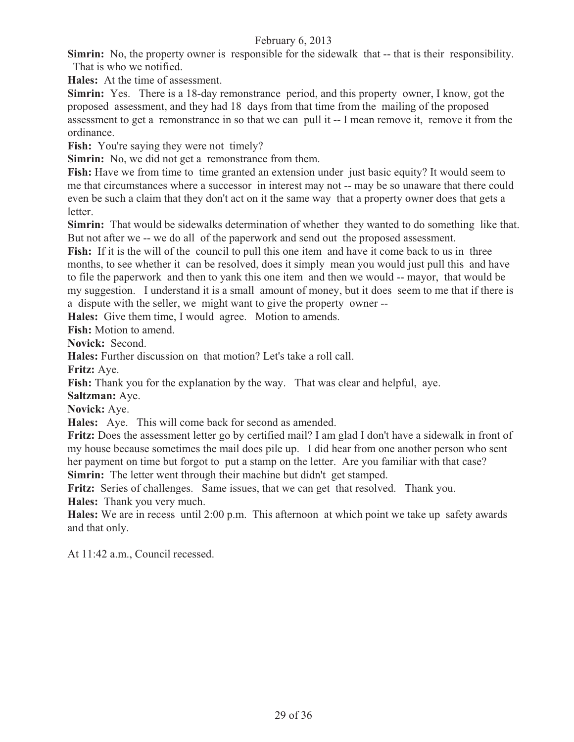**Simrin:** No, the property owner is responsible for the sidewalk that -- that is their responsibility. That is who we notified.

**Hales:** At the time of assessment.

**Simrin:** Yes. There is a 18-day remonstrance period, and this property owner, I know, got the proposed assessment, and they had 18 days from that time from the mailing of the proposed assessment to get a remonstrance in so that we can pull it -- I mean remove it, remove it from the ordinance.

Fish: You're saying they were not timely?

**Simrin:** No, we did not get a remonstrance from them.

**Fish:** Have we from time to time granted an extension under just basic equity? It would seem to me that circumstances where a successor in interest may not -- may be so unaware that there could even be such a claim that they don't act on it the same way that a property owner does that gets a letter.

**Simrin:** That would be sidewalks determination of whether they wanted to do something like that. But not after we -- we do all of the paperwork and send out the proposed assessment.

Fish: If it is the will of the council to pull this one item and have it come back to us in three months, to see whether it can be resolved, does it simply mean you would just pull this and have to file the paperwork and then to yank this one item and then we would -- mayor, that would be my suggestion. I understand it is a small amount of money, but it does seem to me that if there is a dispute with the seller, we might want to give the property owner --

**Hales:** Give them time, I would agree. Motion to amends.

**Fish:** Motion to amend.

**Novick:** Second.

**Hales:** Further discussion on that motion? Let's take a roll call.

**Fritz:** Aye.

**Fish:** Thank you for the explanation by the way. That was clear and helpful, aye.

**Saltzman:** Aye.

**Novick:** Aye.

**Hales:** Aye. This will come back for second as amended.

**Fritz:** Does the assessment letter go by certified mail? I am glad I don't have a sidewalk in front of my house because sometimes the mail does pile up. I did hear from one another person who sent her payment on time but forgot to put a stamp on the letter. Are you familiar with that case? **Simrin:** The letter went through their machine but didn't get stamped.

**Fritz:** Series of challenges. Same issues, that we can get that resolved. Thank you. **Hales:** Thank you very much.

**Hales:** We are in recess until 2:00 p.m. This afternoon at which point we take up safety awards and that only.

At 11:42 a.m., Council recessed.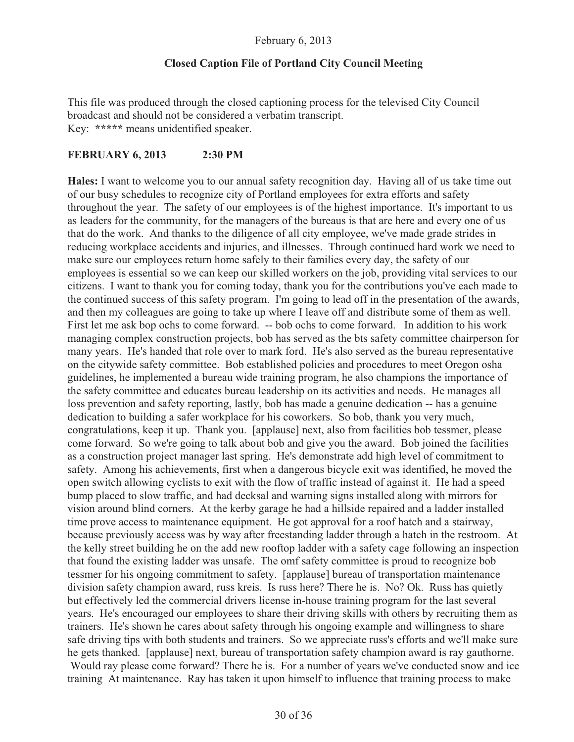#### **Closed Caption File of Portland City Council Meeting**

This file was produced through the closed captioning process for the televised City Council broadcast and should not be considered a verbatim transcript. Key: **\*\*\*\*\*** means unidentified speaker.

#### **FEBRUARY 6, 2013 2:30 PM**

**Hales:** I want to welcome you to our annual safety recognition day. Having all of us take time out of our busy schedules to recognize city of Portland employees for extra efforts and safety throughout the year. The safety of our employees is of the highest importance. It's important to us as leaders for the community, for the managers of the bureaus is that are here and every one of us that do the work. And thanks to the diligence of all city employee, we've made grade strides in reducing workplace accidents and injuries, and illnesses. Through continued hard work we need to make sure our employees return home safely to their families every day, the safety of our employees is essential so we can keep our skilled workers on the job, providing vital services to our citizens. I want to thank you for coming today, thank you for the contributions you've each made to the continued success of this safety program. I'm going to lead off in the presentation of the awards, and then my colleagues are going to take up where I leave off and distribute some of them as well. First let me ask bop ochs to come forward. -- bob ochs to come forward. In addition to his work managing complex construction projects, bob has served as the bts safety committee chairperson for many years. He's handed that role over to mark ford. He's also served as the bureau representative on the citywide safety committee. Bob established policies and procedures to meet Oregon osha guidelines, he implemented a bureau wide training program, he also champions the importance of the safety committee and educates bureau leadership on its activities and needs. He manages all loss prevention and safety reporting, lastly, bob has made a genuine dedication -- has a genuine dedication to building a safer workplace for his coworkers. So bob, thank you very much, congratulations, keep it up. Thank you. [applause] next, also from facilities bob tessmer, please come forward. So we're going to talk about bob and give you the award. Bob joined the facilities as a construction project manager last spring. He's demonstrate add high level of commitment to safety. Among his achievements, first when a dangerous bicycle exit was identified, he moved the open switch allowing cyclists to exit with the flow of traffic instead of against it. He had a speed bump placed to slow traffic, and had decksal and warning signs installed along with mirrors for vision around blind corners. At the kerby garage he had a hillside repaired and a ladder installed time prove access to maintenance equipment. He got approval for a roof hatch and a stairway, because previously access was by way after freestanding ladder through a hatch in the restroom. At the kelly street building he on the add new rooftop ladder with a safety cage following an inspection that found the existing ladder was unsafe. The omf safety committee is proud to recognize bob tessmer for his ongoing commitment to safety. [applause] bureau of transportation maintenance division safety champion award, russ kreis. Is russ here? There he is. No? Ok. Russ has quietly but effectively led the commercial drivers license in-house training program for the last several years. He's encouraged our employees to share their driving skills with others by recruiting them as trainers. He's shown he cares about safety through his ongoing example and willingness to share safe driving tips with both students and trainers. So we appreciate russ's efforts and we'll make sure he gets thanked. [applause] next, bureau of transportation safety champion award is ray gauthorne. Would ray please come forward? There he is. For a number of years we've conducted snow and ice training At maintenance. Ray has taken it upon himself to influence that training process to make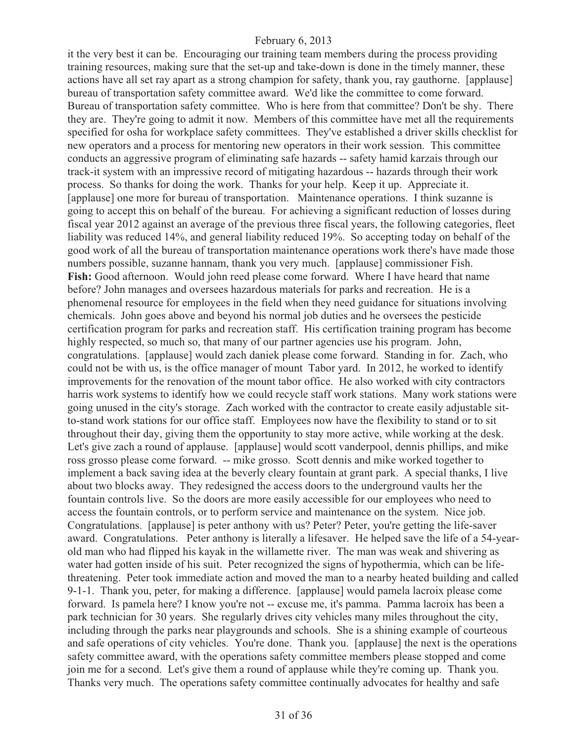it the very best it can be. Encouraging our training team members during the process providing training resources, making sure that the set-up and take-down is done in the timely manner, these actions have all set ray apart as a strong champion for safety, thank you, ray gauthorne. [applause] bureau of transportation safety committee award. We'd like the committee to come forward. Bureau of transportation safety committee. Who is here from that committee? Don't be shy. There they are. They're going to admit it now. Members of this committee have met all the requirements specified for osha for workplace safety committees. They've established a driver skills checklist for new operators and a process for mentoring new operators in their work session. This committee conducts an aggressive program of eliminating safe hazards -- safety hamid karzais through our track-it system with an impressive record of mitigating hazardous -- hazards through their work process. So thanks for doing the work. Thanks for your help. Keep it up. Appreciate it. [applause] one more for bureau of transportation. Maintenance operations. I think suzanne is going to accept this on behalf of the bureau. For achieving a significant reduction of losses during fiscal year 2012 against an average of the previous three fiscal years, the following categories, fleet liability was reduced 14%, and general liability reduced 19%. So accepting today on behalf of the good work of all the bureau of transportation maintenance operations work there's have made those numbers possible, suzanne hannam, thank you very much. [applause] commissioner Fish. **Fish:** Good afternoon. Would john reed please come forward. Where I have heard that name before? John manages and oversees hazardous materials for parks and recreation. He is a phenomenal resource for employees in the field when they need guidance for situations involving chemicals. John goes above and beyond his normal job duties and he oversees the pesticide certification program for parks and recreation staff. His certification training program has become highly respected, so much so, that many of our partner agencies use his program. John, congratulations. [applause] would zach daniek please come forward. Standing in for. Zach, who could not be with us, is the office manager of mount Tabor yard. In 2012, he worked to identify improvements for the renovation of the mount tabor office. He also worked with city contractors harris work systems to identify how we could recycle staff work stations. Many work stations were going unused in the city's storage. Zach worked with the contractor to create easily adjustable sitto-stand work stations for our office staff. Employees now have the flexibility to stand or to sit throughout their day, giving them the opportunity to stay more active, while working at the desk. Let's give zach a round of applause. [applause] would scott vanderpool, dennis phillips, and mike ross grosso please come forward. -- mike grosso. Scott dennis and mike worked together to implement a back saving idea at the beverly cleary fountain at grant park. A special thanks, I live about two blocks away. They redesigned the access doors to the underground vaults her the fountain controls live. So the doors are more easily accessible for our employees who need to access the fountain controls, or to perform service and maintenance on the system. Nice job. Congratulations. [applause] is peter anthony with us? Peter? Peter, you're getting the life-saver award. Congratulations. Peter anthony is literally a lifesaver. He helped save the life of a 54-yearold man who had flipped his kayak in the willamette river. The man was weak and shivering as water had gotten inside of his suit. Peter recognized the signs of hypothermia, which can be lifethreatening. Peter took immediate action and moved the man to a nearby heated building and called 9-1-1. Thank you, peter, for making a difference. [applause] would pamela lacroix please come forward. Is pamela here? I know you're not -- excuse me, it's pamma. Pamma lacroix has been a park technician for 30 years. She regularly drives city vehicles many miles throughout the city, including through the parks near playgrounds and schools. She is a shining example of courteous and safe operations of city vehicles. You're done. Thank you. [applause] the next is the operations safety committee award, with the operations safety committee members please stopped and come join me for a second. Let's give them a round of applause while they're coming up. Thank you. Thanks very much. The operations safety committee continually advocates for healthy and safe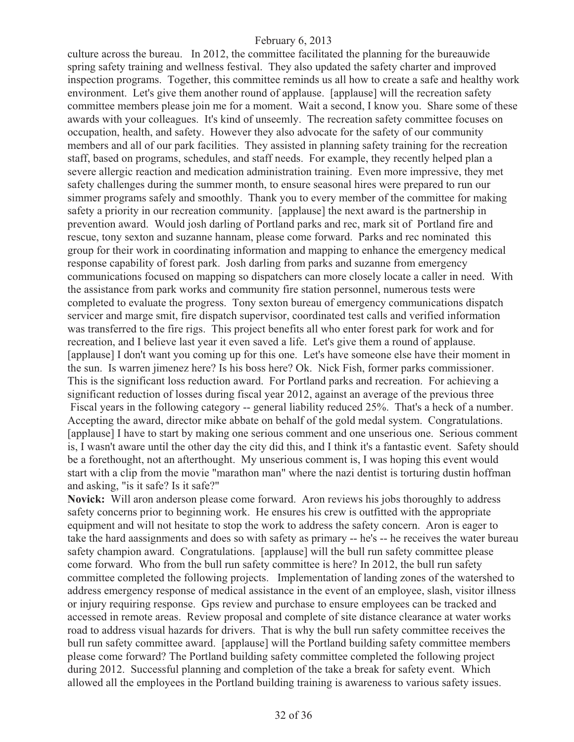culture across the bureau. In 2012, the committee facilitated the planning for the bureauwide spring safety training and wellness festival. They also updated the safety charter and improved inspection programs. Together, this committee reminds us all how to create a safe and healthy work environment. Let's give them another round of applause. [applause] will the recreation safety committee members please join me for a moment. Wait a second, I know you. Share some of these awards with your colleagues. It's kind of unseemly. The recreation safety committee focuses on occupation, health, and safety. However they also advocate for the safety of our community members and all of our park facilities. They assisted in planning safety training for the recreation staff, based on programs, schedules, and staff needs. For example, they recently helped plan a severe allergic reaction and medication administration training. Even more impressive, they met safety challenges during the summer month, to ensure seasonal hires were prepared to run our simmer programs safely and smoothly. Thank you to every member of the committee for making safety a priority in our recreation community. [applause] the next award is the partnership in prevention award. Would josh darling of Portland parks and rec, mark sit of Portland fire and rescue, tony sexton and suzanne hannam, please come forward. Parks and rec nominated this group for their work in coordinating information and mapping to enhance the emergency medical response capability of forest park. Josh darling from parks and suzanne from emergency communications focused on mapping so dispatchers can more closely locate a caller in need. With the assistance from park works and community fire station personnel, numerous tests were completed to evaluate the progress. Tony sexton bureau of emergency communications dispatch servicer and marge smit, fire dispatch supervisor, coordinated test calls and verified information was transferred to the fire rigs. This project benefits all who enter forest park for work and for recreation, and I believe last year it even saved a life. Let's give them a round of applause. [applause] I don't want you coming up for this one. Let's have someone else have their moment in the sun. Is warren jimenez here? Is his boss here? Ok. Nick Fish, former parks commissioner. This is the significant loss reduction award. For Portland parks and recreation. For achieving a significant reduction of losses during fiscal year 2012, against an average of the previous three Fiscal years in the following category -- general liability reduced 25%. That's a heck of a number. Accepting the award, director mike abbate on behalf of the gold medal system. Congratulations. [applause] I have to start by making one serious comment and one unserious one. Serious comment is, I wasn't aware until the other day the city did this, and I think it's a fantastic event. Safety should be a forethought, not an afterthought. My unserious comment is, I was hoping this event would start with a clip from the movie "marathon man" where the nazi dentist is torturing dustin hoffman and asking, "is it safe? Is it safe?"

**Novick:** Will aron anderson please come forward. Aron reviews his jobs thoroughly to address safety concerns prior to beginning work. He ensures his crew is outfitted with the appropriate equipment and will not hesitate to stop the work to address the safety concern. Aron is eager to take the hard aassignments and does so with safety as primary -- he's -- he receives the water bureau safety champion award. Congratulations. [applause] will the bull run safety committee please come forward. Who from the bull run safety committee is here? In 2012, the bull run safety committee completed the following projects. Implementation of landing zones of the watershed to address emergency response of medical assistance in the event of an employee, slash, visitor illness or injury requiring response. Gps review and purchase to ensure employees can be tracked and accessed in remote areas. Review proposal and complete of site distance clearance at water works road to address visual hazards for drivers. That is why the bull run safety committee receives the bull run safety committee award. [applause] will the Portland building safety committee members please come forward? The Portland building safety committee completed the following project during 2012. Successful planning and completion of the take a break for safety event. Which allowed all the employees in the Portland building training is awareness to various safety issues.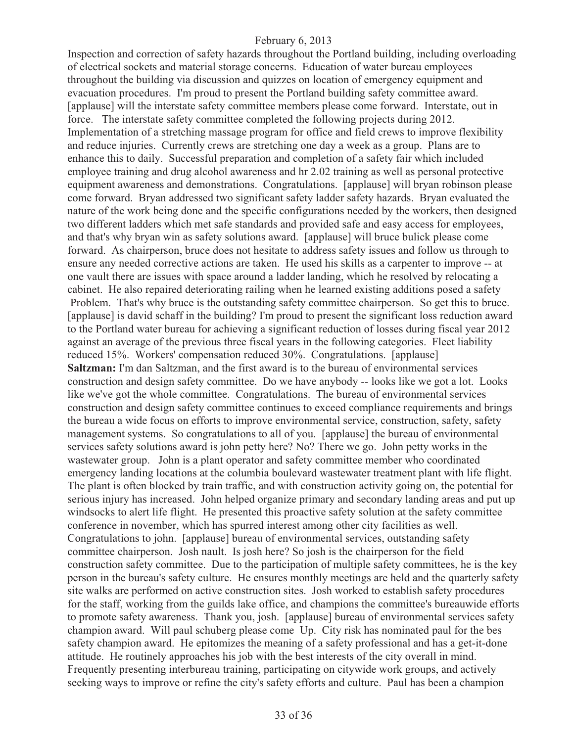Inspection and correction of safety hazards throughout the Portland building, including overloading of electrical sockets and material storage concerns. Education of water bureau employees throughout the building via discussion and quizzes on location of emergency equipment and evacuation procedures. I'm proud to present the Portland building safety committee award. [applause] will the interstate safety committee members please come forward. Interstate, out in force. The interstate safety committee completed the following projects during 2012. Implementation of a stretching massage program for office and field crews to improve flexibility and reduce injuries. Currently crews are stretching one day a week as a group. Plans are to enhance this to daily. Successful preparation and completion of a safety fair which included employee training and drug alcohol awareness and hr 2.02 training as well as personal protective equipment awareness and demonstrations. Congratulations. [applause] will bryan robinson please come forward. Bryan addressed two significant safety ladder safety hazards. Bryan evaluated the nature of the work being done and the specific configurations needed by the workers, then designed two different ladders which met safe standards and provided safe and easy access for employees, and that's why bryan win as safety solutions award. [applause] will bruce bulick please come forward. As chairperson, bruce does not hesitate to address safety issues and follow us through to ensure any needed corrective actions are taken. He used his skills as a carpenter to improve -- at one vault there are issues with space around a ladder landing, which he resolved by relocating a cabinet. He also repaired deteriorating railing when he learned existing additions posed a safety Problem. That's why bruce is the outstanding safety committee chairperson. So get this to bruce. [applause] is david schaff in the building? I'm proud to present the significant loss reduction award to the Portland water bureau for achieving a significant reduction of losses during fiscal year 2012 against an average of the previous three fiscal years in the following categories. Fleet liability reduced 15%. Workers' compensation reduced 30%. Congratulations. [applause] **Saltzman:** I'm dan Saltzman, and the first award is to the bureau of environmental services construction and design safety committee. Do we have anybody -- looks like we got a lot. Looks like we've got the whole committee. Congratulations. The bureau of environmental services construction and design safety committee continues to exceed compliance requirements and brings the bureau a wide focus on efforts to improve environmental service, construction, safety, safety management systems. So congratulations to all of you. [applause] the bureau of environmental services safety solutions award is john petty here? No? There we go. John petty works in the wastewater group. John is a plant operator and safety committee member who coordinated emergency landing locations at the columbia boulevard wastewater treatment plant with life flight. The plant is often blocked by train traffic, and with construction activity going on, the potential for serious injury has increased. John helped organize primary and secondary landing areas and put up windsocks to alert life flight. He presented this proactive safety solution at the safety committee conference in november, which has spurred interest among other city facilities as well. Congratulations to john. [applause] bureau of environmental services, outstanding safety committee chairperson. Josh nault. Is josh here? So josh is the chairperson for the field construction safety committee. Due to the participation of multiple safety committees, he is the key person in the bureau's safety culture. He ensures monthly meetings are held and the quarterly safety site walks are performed on active construction sites. Josh worked to establish safety procedures for the staff, working from the guilds lake office, and champions the committee's bureauwide efforts to promote safety awareness. Thank you, josh. [applause] bureau of environmental services safety champion award. Will paul schuberg please come Up. City risk has nominated paul for the bes safety champion award. He epitomizes the meaning of a safety professional and has a get-it-done attitude. He routinely approaches his job with the best interests of the city overall in mind. Frequently presenting interbureau training, participating on citywide work groups, and actively seeking ways to improve or refine the city's safety efforts and culture. Paul has been a champion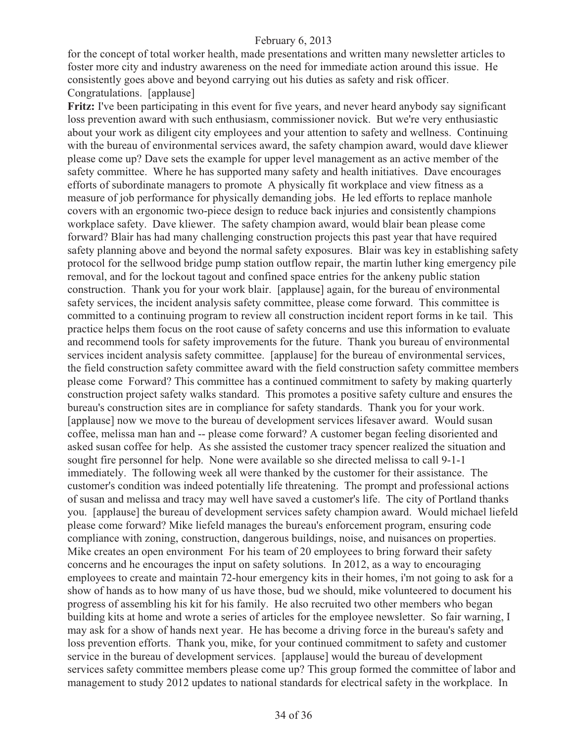for the concept of total worker health, made presentations and written many newsletter articles to foster more city and industry awareness on the need for immediate action around this issue. He consistently goes above and beyond carrying out his duties as safety and risk officer. Congratulations. [applause]

**Fritz:** I've been participating in this event for five years, and never heard anybody say significant loss prevention award with such enthusiasm, commissioner novick. But we're very enthusiastic about your work as diligent city employees and your attention to safety and wellness. Continuing with the bureau of environmental services award, the safety champion award, would dave kliewer please come up? Dave sets the example for upper level management as an active member of the safety committee. Where he has supported many safety and health initiatives. Dave encourages efforts of subordinate managers to promote A physically fit workplace and view fitness as a measure of job performance for physically demanding jobs. He led efforts to replace manhole covers with an ergonomic two-piece design to reduce back injuries and consistently champions workplace safety. Dave kliewer. The safety champion award, would blair bean please come forward? Blair has had many challenging construction projects this past year that have required safety planning above and beyond the normal safety exposures. Blair was key in establishing safety protocol for the sellwood bridge pump station outflow repair, the martin luther king emergency pile removal, and for the lockout tagout and confined space entries for the ankeny public station construction. Thank you for your work blair. [applause] again, for the bureau of environmental safety services, the incident analysis safety committee, please come forward. This committee is committed to a continuing program to review all construction incident report forms in ke tail. This practice helps them focus on the root cause of safety concerns and use this information to evaluate and recommend tools for safety improvements for the future. Thank you bureau of environmental services incident analysis safety committee. [applause] for the bureau of environmental services, the field construction safety committee award with the field construction safety committee members please come Forward? This committee has a continued commitment to safety by making quarterly construction project safety walks standard. This promotes a positive safety culture and ensures the bureau's construction sites are in compliance for safety standards. Thank you for your work. [applause] now we move to the bureau of development services lifesaver award. Would susan coffee, melissa man han and -- please come forward? A customer began feeling disoriented and asked susan coffee for help. As she assisted the customer tracy spencer realized the situation and sought fire personnel for help. None were available so she directed melissa to call 9-1-1 immediately. The following week all were thanked by the customer for their assistance. The customer's condition was indeed potentially life threatening. The prompt and professional actions of susan and melissa and tracy may well have saved a customer's life. The city of Portland thanks you. [applause] the bureau of development services safety champion award. Would michael liefeld please come forward? Mike liefeld manages the bureau's enforcement program, ensuring code compliance with zoning, construction, dangerous buildings, noise, and nuisances on properties. Mike creates an open environment For his team of 20 employees to bring forward their safety concerns and he encourages the input on safety solutions. In 2012, as a way to encouraging employees to create and maintain 72-hour emergency kits in their homes, i'm not going to ask for a show of hands as to how many of us have those, bud we should, mike volunteered to document his progress of assembling his kit for his family. He also recruited two other members who began building kits at home and wrote a series of articles for the employee newsletter. So fair warning, I may ask for a show of hands next year. He has become a driving force in the bureau's safety and loss prevention efforts. Thank you, mike, for your continued commitment to safety and customer service in the bureau of development services. [applause] would the bureau of development services safety committee members please come up? This group formed the committee of labor and management to study 2012 updates to national standards for electrical safety in the workplace. In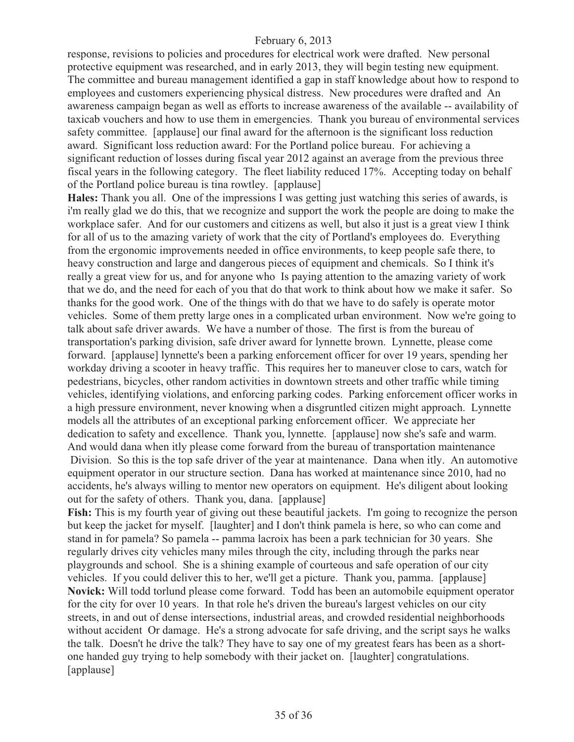response, revisions to policies and procedures for electrical work were drafted. New personal protective equipment was researched, and in early 2013, they will begin testing new equipment. The committee and bureau management identified a gap in staff knowledge about how to respond to employees and customers experiencing physical distress. New procedures were drafted and An awareness campaign began as well as efforts to increase awareness of the available -- availability of taxicab vouchers and how to use them in emergencies. Thank you bureau of environmental services safety committee. [applause] our final award for the afternoon is the significant loss reduction award. Significant loss reduction award: For the Portland police bureau. For achieving a significant reduction of losses during fiscal year 2012 against an average from the previous three fiscal years in the following category. The fleet liability reduced 17%. Accepting today on behalf of the Portland police bureau is tina rowtley. [applause]

**Hales:** Thank you all. One of the impressions I was getting just watching this series of awards, is i'm really glad we do this, that we recognize and support the work the people are doing to make the workplace safer. And for our customers and citizens as well, but also it just is a great view I think for all of us to the amazing variety of work that the city of Portland's employees do. Everything from the ergonomic improvements needed in office environments, to keep people safe there, to heavy construction and large and dangerous pieces of equipment and chemicals. So I think it's really a great view for us, and for anyone who Is paying attention to the amazing variety of work that we do, and the need for each of you that do that work to think about how we make it safer. So thanks for the good work. One of the things with do that we have to do safely is operate motor vehicles. Some of them pretty large ones in a complicated urban environment. Now we're going to talk about safe driver awards. We have a number of those. The first is from the bureau of transportation's parking division, safe driver award for lynnette brown. Lynnette, please come forward. [applause] lynnette's been a parking enforcement officer for over 19 years, spending her workday driving a scooter in heavy traffic. This requires her to maneuver close to cars, watch for pedestrians, bicycles, other random activities in downtown streets and other traffic while timing vehicles, identifying violations, and enforcing parking codes. Parking enforcement officer works in a high pressure environment, never knowing when a disgruntled citizen might approach. Lynnette models all the attributes of an exceptional parking enforcement officer. We appreciate her dedication to safety and excellence. Thank you, lynnette. [applause] now she's safe and warm. And would dana when itly please come forward from the bureau of transportation maintenance Division. So this is the top safe driver of the year at maintenance. Dana when itly. An automotive equipment operator in our structure section. Dana has worked at maintenance since 2010, had no accidents, he's always willing to mentor new operators on equipment. He's diligent about looking out for the safety of others. Thank you, dana. [applause]

**Fish:** This is my fourth year of giving out these beautiful jackets. I'm going to recognize the person but keep the jacket for myself. [laughter] and I don't think pamela is here, so who can come and stand in for pamela? So pamela -- pamma lacroix has been a park technician for 30 years. She regularly drives city vehicles many miles through the city, including through the parks near playgrounds and school. She is a shining example of courteous and safe operation of our city vehicles. If you could deliver this to her, we'll get a picture. Thank you, pamma. [applause] **Novick:** Will todd torlund please come forward. Todd has been an automobile equipment operator for the city for over 10 years. In that role he's driven the bureau's largest vehicles on our city streets, in and out of dense intersections, industrial areas, and crowded residential neighborhoods without accident Or damage. He's a strong advocate for safe driving, and the script says he walks the talk. Doesn't he drive the talk? They have to say one of my greatest fears has been as a shortone handed guy trying to help somebody with their jacket on. [laughter] congratulations. [applause]